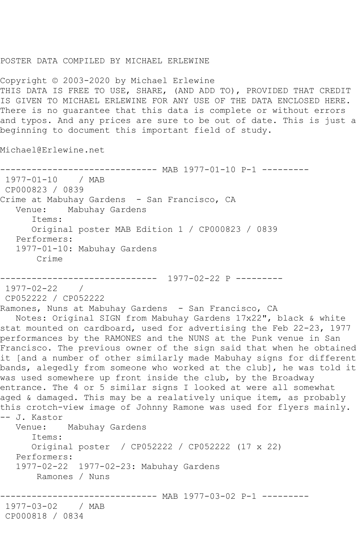## POSTER DATA COMPILED BY MICHAEL ERLEWINE

Copyright © 2003-2020 by Michael Erlewine THIS DATA IS FREE TO USE, SHARE, (AND ADD TO), PROVIDED THAT CREDIT IS GIVEN TO MICHAEL ERLEWINE FOR ANY USE OF THE DATA ENCLOSED HERE. There is no guarantee that this data is complete or without errors and typos. And any prices are sure to be out of date. This is just a beginning to document this important field of study.

Michael@Erlewine.net

```
------------------------------ MAB 1977-01-10 P-1 ---------
1977-01-10 / MAB 
CP000823 / 0839
Crime at Mabuhay Gardens - San Francisco, CA
   Venue: Mabuhay Gardens
       Items:
      Original poster MAB Edition 1 / CP000823 / 0839
   Performers:
   1977-01-10: Mabuhay Gardens
       Crime
------------------------------ 1977-02-22 P ---------
1977-02-22 / 
CP052222 / CP052222
Ramones, Nuns at Mabuhay Gardens - San Francisco, CA
 Notes: Original SIGN from Mabuhay Gardens 17x22", black & white 
stat mounted on cardboard, used for advertising the Feb 22-23, 1977 
performances by the RAMONES and the NUNS at the Punk venue in San 
Francisco. The previous owner of the sign said that when he obtained 
it [and a number of other similarly made Mabuhay signs for different 
bands, alegedly from someone who worked at the club], he was told it 
was used somewhere up front inside the club, by the Broadway
entrance. The 4 or 5 similar signs I looked at were all somewhat 
aged & damaged. This may be a realatively unique item, as probably 
this crotch-view image of Johnny Ramone was used for flyers mainly. 
-- J. Kastor
           Mabuhay Gardens
       Items:
       Original poster / CP052222 / CP052222 (17 x 22)
   Performers:
   1977-02-22 1977-02-23: Mabuhay Gardens
       Ramones / Nuns
                   ------------------------------ MAB 1977-03-02 P-1 ---------
1977-03-02 / MAB 
CP000818 / 0834
```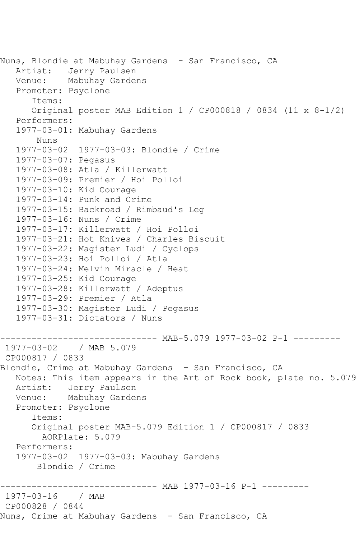```
Nuns, Blondie at Mabuhay Gardens - San Francisco, CA
   Artist: Jerry Paulsen
   Venue: Mabuhay Gardens
   Promoter: Psyclone
       Items:
       Original poster MAB Edition 1 / CP000818 / 0834 (11 x 8-1/2)
   Performers:
   1977-03-01: Mabuhay Gardens
       Nuns
   1977-03-02 1977-03-03: Blondie / Crime
   1977-03-07: Pegasus
   1977-03-08: Atla / Killerwatt
   1977-03-09: Premier / Hoi Polloi
   1977-03-10: Kid Courage
   1977-03-14: Punk and Crime
   1977-03-15: Backroad / Rimbaud's Leg
   1977-03-16: Nuns / Crime
   1977-03-17: Killerwatt / Hoi Polloi
   1977-03-21: Hot Knives / Charles Biscuit
   1977-03-22: Magister Ludi / Cyclops
   1977-03-23: Hoi Polloi / Atla
   1977-03-24: Melvin Miracle / Heat
   1977-03-25: Kid Courage
   1977-03-28: Killerwatt / Adeptus
   1977-03-29: Premier / Atla
   1977-03-30: Magister Ludi / Pegasus
   1977-03-31: Dictators / Nuns
                --------------- MAB-5.079 1977-03-02 P-1 ---------
1977-03-02 / MAB 5.079
CP000817 / 0833
Blondie, Crime at Mabuhay Gardens - San Francisco, CA
   Notes: This item appears in the Art of Rock book, plate no. 5.079
   Artist: Jerry Paulsen
   Venue: Mabuhay Gardens
   Promoter: Psyclone
       Items:
       Original poster MAB-5.079 Edition 1 / CP000817 / 0833
        AORPlate: 5.079 
   Performers:
   1977-03-02 1977-03-03: Mabuhay Gardens
       Blondie / Crime
          ------------------------------ MAB 1977-03-16 P-1 ---------
1977-03-16 / MAB 
CP000828 / 0844
Nuns, Crime at Mabuhay Gardens - San Francisco, CA
```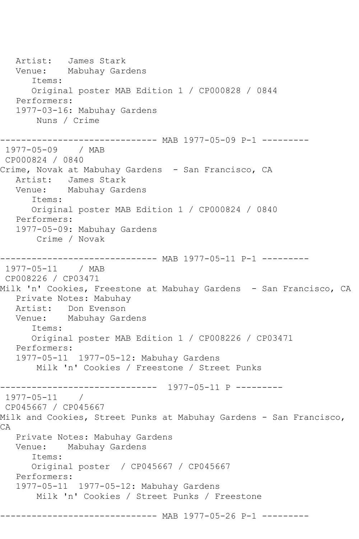Artist: James Stark Venue: Mabuhay Gardens Items: Original poster MAB Edition 1 / CP000828 / 0844 Performers: 1977-03-16: Mabuhay Gardens Nuns / Crime ------------------------------ MAB 1977-05-09 P-1 --------- 1977-05-09 / MAB CP000824 / 0840 Crime, Novak at Mabuhay Gardens - San Francisco, CA Artist: James Stark Venue: Mabuhay Gardens Items: Original poster MAB Edition 1 / CP000824 / 0840 Performers: 1977-05-09: Mabuhay Gardens Crime / Novak ------------------------------ MAB 1977-05-11 P-1 --------- 1977-05-11 / MAB CP008226 / CP03471 Milk 'n' Cookies, Freestone at Mabuhay Gardens - San Francisco, CA Private Notes: Mabuhay Artist: Don Evenson Venue: Mabuhay Gardens Items: Original poster MAB Edition 1 / CP008226 / CP03471 Performers: 1977-05-11 1977-05-12: Mabuhay Gardens Milk 'n' Cookies / Freestone / Street Punks ------------------------------ 1977-05-11 P --------- 1977-05-11 / CP045667 / CP045667 Milk and Cookies, Street Punks at Mabuhay Gardens - San Francisco, CA Private Notes: Mabuhay Gardens Venue: Mabuhay Gardens Items: Original poster / CP045667 / CP045667 Performers: 1977-05-11 1977-05-12: Mabuhay Gardens Milk 'n' Cookies / Street Punks / Freestone ------------------------------ MAB 1977-05-26 P-1 ---------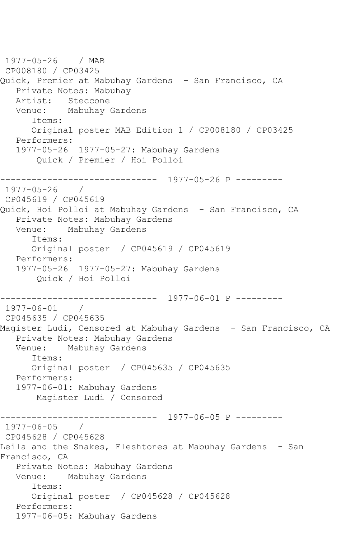1977-05-26 / MAB CP008180 / CP03425 Quick, Premier at Mabuhay Gardens - San Francisco, CA Private Notes: Mabuhay Artist: Steccone Venue: Mabuhay Gardens Items: Original poster MAB Edition 1 / CP008180 / CP03425 Performers: 1977-05-26 1977-05-27: Mabuhay Gardens Quick / Premier / Hoi Polloi ------------------------------ 1977-05-26 P --------- 1977-05-26 / CP045619 / CP045619 Quick, Hoi Polloi at Mabuhay Gardens - San Francisco, CA Private Notes: Mabuhay Gardens Venue: Mabuhay Gardens Items: Original poster / CP045619 / CP045619 Performers: 1977-05-26 1977-05-27: Mabuhay Gardens Quick / Hoi Polloi ------------------------------ 1977-06-01 P --------- 1977-06-01 / CP045635 / CP045635 Magister Ludi, Censored at Mabuhay Gardens - San Francisco, CA Private Notes: Mabuhay Gardens Venue: Mabuhay Gardens Items: Original poster / CP045635 / CP045635 Performers: 1977-06-01: Mabuhay Gardens Magister Ludi / Censored ------------------------------ 1977-06-05 P --------- 1977-06-05 / CP045628 / CP045628 Leila and the Snakes, Fleshtones at Mabuhay Gardens - San Francisco, CA Private Notes: Mabuhay Gardens Venue: Mabuhay Gardens Items: Original poster / CP045628 / CP045628 Performers: 1977-06-05: Mabuhay Gardens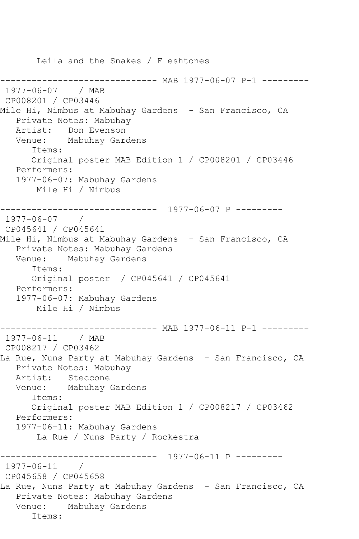Leila and the Snakes / Fleshtones ------------- MAB 1977-06-07 P-1 ---------1977-06-07 / MAB CP008201 / CP03446 Mile Hi, Nimbus at Mabuhay Gardens - San Francisco, CA Private Notes: Mabuhay Artist: Don Evenson Venue: Mabuhay Gardens Items: Original poster MAB Edition 1 / CP008201 / CP03446 Performers: 1977-06-07: Mabuhay Gardens Mile Hi / Nimbus ------------------------------ 1977-06-07 P --------- 1977-06-07 / CP045641 / CP045641 Mile Hi, Nimbus at Mabuhay Gardens - San Francisco, CA Private Notes: Mabuhay Gardens Venue: Mabuhay Gardens Items: Original poster / CP045641 / CP045641 Performers: 1977-06-07: Mabuhay Gardens Mile Hi / Nimbus ------------------------------ MAB 1977-06-11 P-1 --------- 1977-06-11 / MAB CP008217 / CP03462 La Rue, Nuns Party at Mabuhay Gardens - San Francisco, CA Private Notes: Mabuhay Artist: Steccone<br>Venue: Mabuhay Mabuhay Gardens Items: Original poster MAB Edition 1 / CP008217 / CP03462 Performers: 1977-06-11: Mabuhay Gardens La Rue / Nuns Party / Rockestra ------------------------------ 1977-06-11 P --------- 1977-06-11 / CP045658 / CP045658 La Rue, Nuns Party at Mabuhay Gardens - San Francisco, CA Private Notes: Mabuhay Gardens Venue: Mabuhay Gardens Items: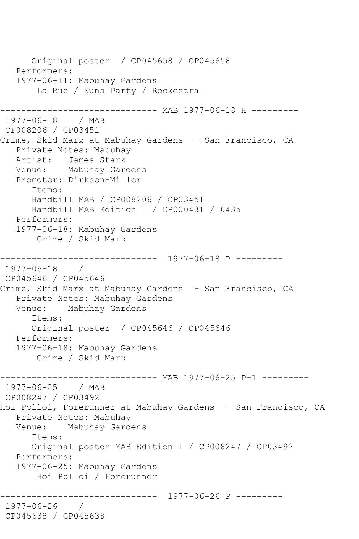Original poster / CP045658 / CP045658 Performers: 1977-06-11: Mabuhay Gardens La Rue / Nuns Party / Rockestra ----------- MAB 1977-06-18 H ---------1977-06-18 / MAB CP008206 / CP03451 Crime, Skid Marx at Mabuhay Gardens - San Francisco, CA Private Notes: Mabuhay Artist: James Stark Venue: Mabuhay Gardens Promoter: Dirksen-Miller Items: Handbill MAB / CP008206 / CP03451 Handbill MAB Edition 1 / CP000431 / 0435 Performers: 1977-06-18: Mabuhay Gardens Crime / Skid Marx ------------------------------ 1977-06-18 P --------- 1977-06-18 / CP045646 / CP045646 Crime, Skid Marx at Mabuhay Gardens - San Francisco, CA Private Notes: Mabuhay Gardens Venue: Mabuhay Gardens Items: Original poster / CP045646 / CP045646 Performers: 1977-06-18: Mabuhay Gardens Crime / Skid Marx ------------------------------ MAB 1977-06-25 P-1 --------- 1977-06-25 / MAB CP008247 / CP03492 Hoi Polloi, Forerunner at Mabuhay Gardens - San Francisco, CA Private Notes: Mabuhay Venue: Mabuhay Gardens Items: Original poster MAB Edition 1 / CP008247 / CP03492 Performers: 1977-06-25: Mabuhay Gardens Hoi Polloi / Forerunner ------------------------------ 1977-06-26 P --------- 1977-06-26 / CP045638 / CP045638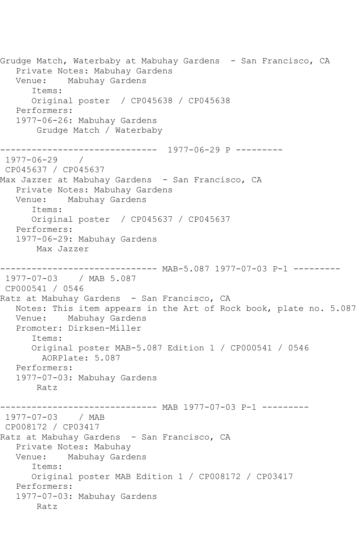Grudge Match, Waterbaby at Mabuhay Gardens - San Francisco, CA Private Notes: Mabuhay Gardens Venue: Mabuhay Gardens Items: Original poster / CP045638 / CP045638 Performers: 1977-06-26: Mabuhay Gardens Grudge Match / Waterbaby ------------------------------ 1977-06-29 P --------- 1977-06-29 / CP045637 / CP045637 Max Jazzer at Mabuhay Gardens - San Francisco, CA Private Notes: Mabuhay Gardens Venue: Mabuhay Gardens Items: Original poster / CP045637 / CP045637 Performers: 1977-06-29: Mabuhay Gardens Max Jazzer ----- MAB-5.087 1977-07-03 P-1 ---------1977-07-03 / MAB 5.087 CP000541 / 0546 Ratz at Mabuhay Gardens - San Francisco, CA Notes: This item appears in the Art of Rock book, plate no. 5.087 Venue: Mabuhay Gardens Promoter: Dirksen-Miller Items: Original poster MAB-5.087 Edition 1 / CP000541 / 0546 AORPlate: 5.087 Performers: 1977-07-03: Mabuhay Gardens Ratz ------------------------------ MAB 1977-07-03 P-1 --------- 1977-07-03 / MAB CP008172 / CP03417 Ratz at Mabuhay Gardens - San Francisco, CA Private Notes: Mabuhay<br>Venue: Mabuhay Gard Mabuhay Gardens Items: Original poster MAB Edition 1 / CP008172 / CP03417 Performers: 1977-07-03: Mabuhay Gardens Ratz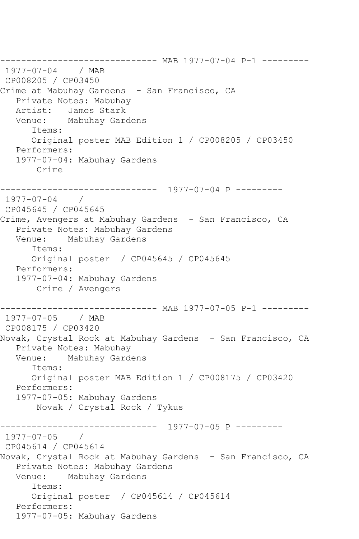------------------------------ MAB 1977-07-04 P-1 ---------<br>1977-07-04 / MAB 1977-07-04 CP008205 / CP03450 Crime at Mabuhay Gardens - San Francisco, CA Private Notes: Mabuhay<br>Artist: James Stark James Stark Venue: Mabuhay Gardens Items: Original poster MAB Edition 1 / CP008205 / CP03450 Performers: 1977-07-04: Mabuhay Gardens Crime ------------------------------ 1977-07-04 P --------- 1977-07-04 / CP045645 / CP045645 Crime, Avengers at Mabuhay Gardens - San Francisco, CA Private Notes: Mabuhay Gardens Venue: Mabuhay Gardens Items: Original poster / CP045645 / CP045645 Performers: 1977-07-04: Mabuhay Gardens Crime / Avengers ------------------------------ MAB 1977-07-05 P-1 --------- 1977-07-05 / MAB CP008175 / CP03420 Novak, Crystal Rock at Mabuhay Gardens - San Francisco, CA Private Notes: Mabuhay Venue: Mabuhay Gardens Items: Original poster MAB Edition 1 / CP008175 / CP03420 Performers: 1977-07-05: Mabuhay Gardens Novak / Crystal Rock / Tykus ------------------------------ 1977-07-05 P ---------  $1977 - 07 - 05$ CP045614 / CP045614 Novak, Crystal Rock at Mabuhay Gardens - San Francisco, CA Private Notes: Mabuhay Gardens Venue: Mabuhay Gardens Items: Original poster / CP045614 / CP045614 Performers: 1977-07-05: Mabuhay Gardens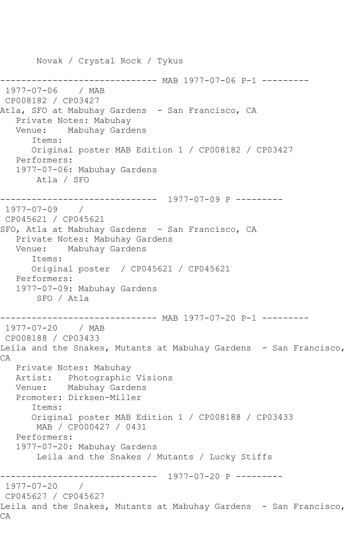Novak / Crystal Rock / Tykus ------------------------------ MAB 1977-07-06 P-1 --------- 1977-07-06 / MAB CP008182 / CP03427 Atla, SFO at Mabuhay Gardens - San Francisco, CA Private Notes: Mabuhay Venue: Mabuhay Gardens Items: Original poster MAB Edition 1 / CP008182 / CP03427 Performers: 1977-07-06: Mabuhay Gardens Atla / SFO ------------------------------ 1977-07-09 P --------- 1977-07-09 / CP045621 / CP045621 SFO, Atla at Mabuhay Gardens - San Francisco, CA Private Notes: Mabuhay Gardens Venue: Mabuhay Gardens Items: Original poster / CP045621 / CP045621 Performers: 1977-07-09: Mabuhay Gardens SFO / Atla ------------------------------ MAB 1977-07-20 P-1 --------- 1977-07-20 / MAB CP008188 / CP03433 Leila and the Snakes, Mutants at Mabuhay Gardens - San Francisco, CA Private Notes: Mabuhay Artist: Photographic Visions Venue: Mabuhay Gardens Promoter: Dirksen-Miller Items: Original poster MAB Edition 1 / CP008188 / CP03433 MAB / CP000427 / 0431 Performers: 1977-07-20: Mabuhay Gardens Leila and the Snakes / Mutants / Lucky Stiffs ------------------------------ 1977-07-20 P --------- 1977-07-20 / CP045627 / CP045627 Leila and the Snakes, Mutants at Mabuhay Gardens - San Francisco, CA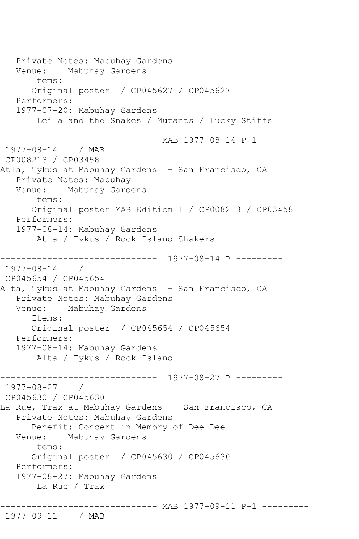Private Notes: Mabuhay Gardens Venue: Mabuhay Gardens Items: Original poster / CP045627 / CP045627 Performers: 1977-07-20: Mabuhay Gardens Leila and the Snakes / Mutants / Lucky Stiffs ------------------------------ MAB 1977-08-14 P-1 --------- 1977-08-14 / MAB CP008213 / CP03458 Atla, Tykus at Mabuhay Gardens - San Francisco, CA Private Notes: Mabuhay Venue: Mabuhay Gardens Items: Original poster MAB Edition 1 / CP008213 / CP03458 Performers: 1977-08-14: Mabuhay Gardens Atla / Tykus / Rock Island Shakers ------------------------------ 1977-08-14 P --------- 1977-08-14 / CP045654 / CP045654 Alta, Tykus at Mabuhay Gardens - San Francisco, CA Private Notes: Mabuhay Gardens Venue: Mabuhay Gardens Items: Original poster / CP045654 / CP045654 Performers: 1977-08-14: Mabuhay Gardens Alta / Tykus / Rock Island ------------------------------ 1977-08-27 P --------- 1977-08-27 / CP045630 / CP045630 La Rue, Trax at Mabuhay Gardens - San Francisco, CA Private Notes: Mabuhay Gardens Benefit: Concert in Memory of Dee-Dee Venue: Mabuhay Gardens Items: Original poster / CP045630 / CP045630 Performers: 1977-08-27: Mabuhay Gardens La Rue / Trax ------------------------------ MAB 1977-09-11 P-1 ---------

```
1977-09-11 / MAB
```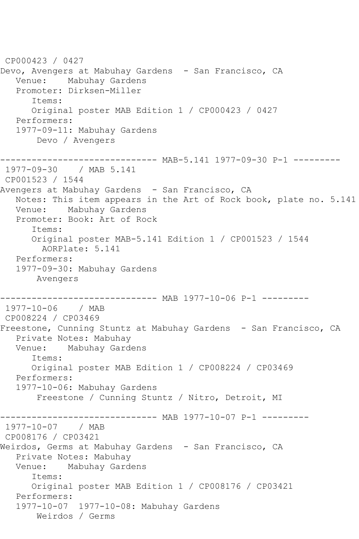CP000423 / 0427 Devo, Avengers at Mabuhay Gardens - San Francisco, CA Venue: Mabuhay Gardens Promoter: Dirksen-Miller Items: Original poster MAB Edition 1 / CP000423 / 0427 Performers: 1977-09-11: Mabuhay Gardens Devo / Avengers ------------------------------ MAB-5.141 1977-09-30 P-1 --------- 1977-09-30 / MAB 5.141 CP001523 / 1544 Avengers at Mabuhay Gardens - San Francisco, CA Notes: This item appears in the Art of Rock book, plate no. 5.141 Venue: Mabuhay Gardens Promoter: Book: Art of Rock Items: Original poster MAB-5.141 Edition 1 / CP001523 / 1544 AORPlate: 5.141 Performers: 1977-09-30: Mabuhay Gardens Avengers ---------- MAB 1977-10-06 P-1 ---------1977-10-06 / MAB CP008224 / CP03469 Freestone, Cunning Stuntz at Mabuhay Gardens - San Francisco, CA Private Notes: Mabuhay Venue: Mabuhay Gardens Items: Original poster MAB Edition 1 / CP008224 / CP03469 Performers: 1977-10-06: Mabuhay Gardens Freestone / Cunning Stuntz / Nitro, Detroit, MI ------------------------------ MAB 1977-10-07 P-1 --------- 1977-10-07 / MAB CP008176 / CP03421 Weirdos, Germs at Mabuhay Gardens - San Francisco, CA Private Notes: Mabuhay Venue: Mabuhay Gardens Items: Original poster MAB Edition 1 / CP008176 / CP03421 Performers: 1977-10-07 1977-10-08: Mabuhay Gardens Weirdos / Germs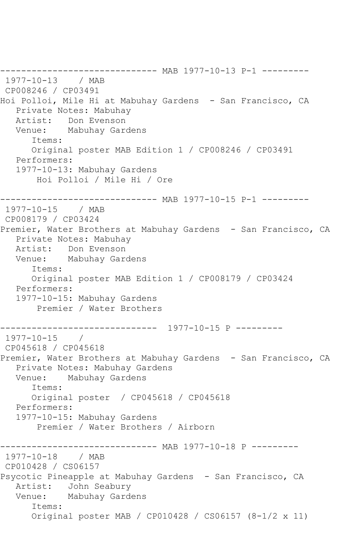-------------------- MAB 1977-10-13 P-1 ---------1977-10-13 / MAB CP008246 / CP03491 Hoi Polloi, Mile Hi at Mabuhay Gardens - San Francisco, CA Private Notes: Mabuhay Artist: Don Evenson Venue: Mabuhay Gardens Items: Original poster MAB Edition 1 / CP008246 / CP03491 Performers: 1977-10-13: Mabuhay Gardens Hoi Polloi / Mile Hi / Ore ------------------------------ MAB 1977-10-15 P-1 --------- 1977-10-15 / MAB CP008179 / CP03424 Premier, Water Brothers at Mabuhay Gardens - San Francisco, CA Private Notes: Mabuhay Artist: Don Evenson Venue: Mabuhay Gardens Items: Original poster MAB Edition 1 / CP008179 / CP03424 Performers: 1977-10-15: Mabuhay Gardens Premier / Water Brothers ------------------------------ 1977-10-15 P ---------  $1977 - 10 - 15$ CP045618 / CP045618 Premier, Water Brothers at Mabuhay Gardens - San Francisco, CA Private Notes: Mabuhay Gardens Venue: Mabuhay Gardens Items: Original poster / CP045618 / CP045618 Performers: 1977-10-15: Mabuhay Gardens Premier / Water Brothers / Airborn ----------------- MAB 1977-10-18 P ----------<br>/ MAB  $1977 - 10 - 18$ CP010428 / CS06157 Psycotic Pineapple at Mabuhay Gardens - San Francisco, CA Artist: John Seabury Venue: Mabuhay Gardens Items: Original poster MAB / CP010428 / CS06157 (8-1/2 x 11)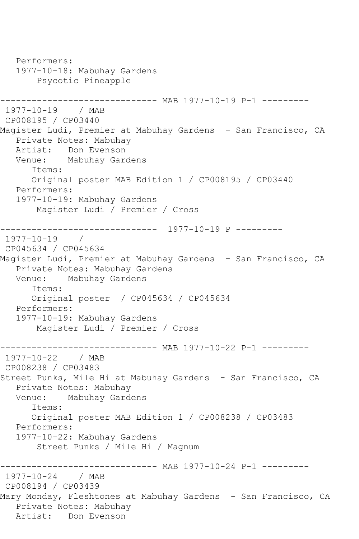Performers: 1977-10-18: Mabuhay Gardens Psycotic Pineapple ------------------------------ MAB 1977-10-19 P-1 --------- 1977-10-19 / MAB CP008195 / CP03440 Magister Ludi, Premier at Mabuhay Gardens - San Francisco, CA Private Notes: Mabuhay Artist: Don Evenson Venue: Mabuhay Gardens Items: Original poster MAB Edition 1 / CP008195 / CP03440 Performers: 1977-10-19: Mabuhay Gardens Magister Ludi / Premier / Cross ------------------------------ 1977-10-19 P --------- 1977-10-19 / CP045634 / CP045634 Magister Ludi, Premier at Mabuhay Gardens - San Francisco, CA Private Notes: Mabuhay Gardens Venue: Mabuhay Gardens Items: Original poster / CP045634 / CP045634 Performers: 1977-10-19: Mabuhay Gardens Magister Ludi / Premier / Cross ------------------------------ MAB 1977-10-22 P-1 --------- 1977-10-22 / MAB CP008238 / CP03483 Street Punks, Mile Hi at Mabuhay Gardens - San Francisco, CA Private Notes: Mabuhay Venue: Mabuhay Gardens Items: Original poster MAB Edition 1 / CP008238 / CP03483 Performers: 1977-10-22: Mabuhay Gardens Street Punks / Mile Hi / Magnum -------------- MAB 1977-10-24 P-1 ---------1977-10-24 / MAB CP008194 / CP03439 Mary Monday, Fleshtones at Mabuhay Gardens – San Francisco, CA Private Notes: Mabuhay Artist: Don Evenson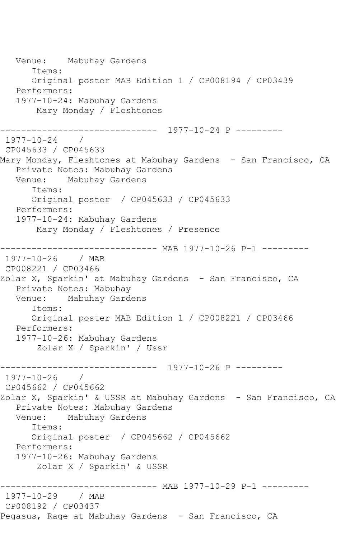Venue: Mabuhay Gardens Items: Original poster MAB Edition 1 / CP008194 / CP03439 Performers: 1977-10-24: Mabuhay Gardens Mary Monday / Fleshtones ------------------------------ 1977-10-24 P --------- 1977-10-24 / CP045633 / CP045633 Mary Monday, Fleshtones at Mabuhay Gardens - San Francisco, CA Private Notes: Mabuhay Gardens Venue: Mabuhay Gardens Items: Original poster / CP045633 / CP045633 Performers: 1977-10-24: Mabuhay Gardens Mary Monday / Fleshtones / Presence ------------------------------ MAB 1977-10-26 P-1 --------- 1977-10-26 / MAB CP008221 / CP03466 Zolar X, Sparkin' at Mabuhay Gardens - San Francisco, CA Private Notes: Mabuhay Venue: Mabuhay Gardens Items: Original poster MAB Edition 1 / CP008221 / CP03466 Performers: 1977-10-26: Mabuhay Gardens Zolar X / Sparkin' / Ussr ------------------------------ 1977-10-26 P --------- 1977-10-26 / CP045662 / CP045662 Zolar X, Sparkin' & USSR at Mabuhay Gardens - San Francisco, CA Private Notes: Mabuhay Gardens Mabuhay Gardens Items: Original poster / CP045662 / CP045662 Performers: 1977-10-26: Mabuhay Gardens Zolar X / Sparkin' & USSR ------------------------------ MAB 1977-10-29 P-1 --------- 1977-10-29 / MAB CP008192 / CP03437 Pegasus, Rage at Mabuhay Gardens - San Francisco, CA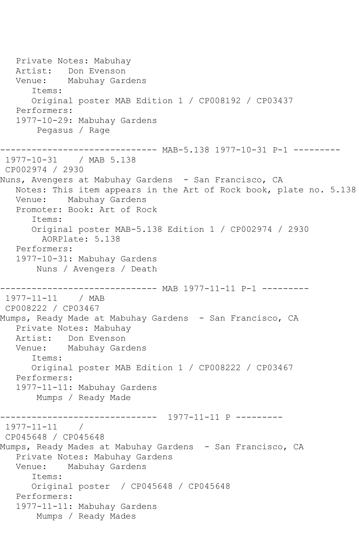Private Notes: Mabuhay Artist: Don Evenson Venue: Mabuhay Gardens Items: Original poster MAB Edition 1 / CP008192 / CP03437 Performers: 1977-10-29: Mabuhay Gardens Pegasus / Rage ------------------------------ MAB-5.138 1977-10-31 P-1 --------- 1977-10-31 / MAB 5.138 CP002974 / 2930 Nuns, Avengers at Mabuhay Gardens - San Francisco, CA Notes: This item appears in the Art of Rock book, plate no. 5.138 Venue: Mabuhay Gardens Promoter: Book: Art of Rock Items: Original poster MAB-5.138 Edition 1 / CP002974 / 2930 AORPlate: 5.138 Performers: 1977-10-31: Mabuhay Gardens Nuns / Avengers / Death ------------------------------ MAB 1977-11-11 P-1 --------- 1977-11-11 / MAB CP008222 / CP03467 Mumps, Ready Made at Mabuhay Gardens - San Francisco, CA Private Notes: Mabuhay Artist: Don Evenson Venue: Mabuhay Gardens Items: Original poster MAB Edition 1 / CP008222 / CP03467 Performers: 1977-11-11: Mabuhay Gardens Mumps / Ready Made ------------------------------ 1977-11-11 P --------- 1977-11-11 / CP045648 / CP045648 Mumps, Ready Mades at Mabuhay Gardens - San Francisco, CA Private Notes: Mabuhay Gardens Venue: Mabuhay Gardens Items: Original poster / CP045648 / CP045648 Performers: 1977-11-11: Mabuhay Gardens Mumps / Ready Mades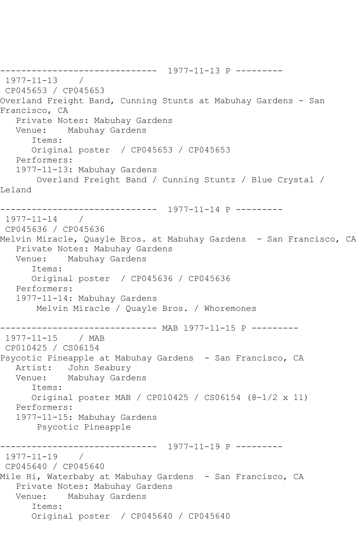```
------------------------------ 1977-11-13 P ---------
1977-11-13 / 
CP045653 / CP045653
Overland Freight Band, Cunning Stunts at Mabuhay Gardens - San 
Francisco, CA
   Private Notes: Mabuhay Gardens
   Venue: Mabuhay Gardens
       Items:
      Original poster / CP045653 / CP045653
   Performers:
   1977-11-13: Mabuhay Gardens
       Overland Freight Band / Cunning Stuntz / Blue Crystal / 
Leland
                ------------------------------ 1977-11-14 P ---------
1977-11-14 / 
CP045636 / CP045636
Melvin Miracle, Quayle Bros. at Mabuhay Gardens - San Francisco, CA
   Private Notes: Mabuhay Gardens
   Venue: Mabuhay Gardens
       Items:
      Original poster / CP045636 / CP045636
   Performers:
   1977-11-14: Mabuhay Gardens
       Melvin Miracle / Quayle Bros. / Whoremones
              ---------------- MAB 1977-11-15 P ----------<br>/ MAB
1977 - 11 - 15CP010425 / CS06154
Psycotic Pineapple at Mabuhay Gardens - San Francisco, CA
   Artist: John Seabury
   Venue: Mabuhay Gardens
       Items:
       Original poster MAB / CP010425 / CS06154 (8-1/2 x 11)
   Performers:
   1977-11-15: Mabuhay Gardens
        Psycotic Pineapple
------------------------------ 1977-11-19 P ---------
1977-11-19 / 
CP045640 / CP045640
Mile Hi, Waterbaby at Mabuhay Gardens - San Francisco, CA
   Private Notes: Mabuhay Gardens
   Venue: Mabuhay Gardens
       Items:
       Original poster / CP045640 / CP045640
```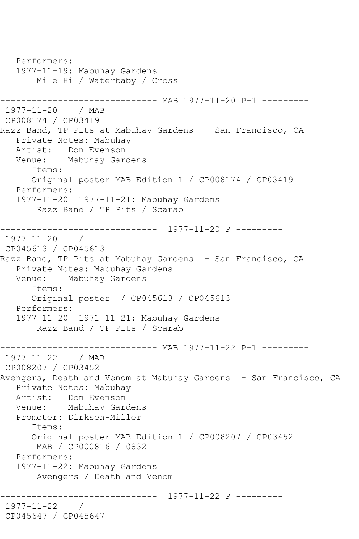Performers: 1977-11-19: Mabuhay Gardens Mile Hi / Waterbaby / Cross ------------------------------ MAB 1977-11-20 P-1 --------- 1977-11-20 / MAB CP008174 / CP03419 Razz Band, TP Pits at Mabuhay Gardens - San Francisco, CA Private Notes: Mabuhay Artist: Don Evenson Venue: Mabuhay Gardens Items: Original poster MAB Edition 1 / CP008174 / CP03419 Performers: 1977-11-20 1977-11-21: Mabuhay Gardens Razz Band / TP Pits / Scarab ------------------------------ 1977-11-20 P --------- 1977-11-20 / CP045613 / CP045613 Razz Band, TP Pits at Mabuhay Gardens - San Francisco, CA Private Notes: Mabuhay Gardens Venue: Mabuhay Gardens Items: Original poster / CP045613 / CP045613 Performers: 1977-11-20 1971-11-21: Mabuhay Gardens Razz Band / TP Pits / Scarab ------------------------------ MAB 1977-11-22 P-1 --------- 1977-11-22 / MAB CP008207 / CP03452 Avengers, Death and Venom at Mabuhay Gardens - San Francisco, CA Private Notes: Mabuhay Artist: Don Evenson Venue: Mabuhay Gardens Promoter: Dirksen-Miller Items: Original poster MAB Edition 1 / CP008207 / CP03452 MAB / CP000816 / 0832 Performers: 1977-11-22: Mabuhay Gardens Avengers / Death and Venom ------------------------------ 1977-11-22 P --------- 1977-11-22 / CP045647 / CP045647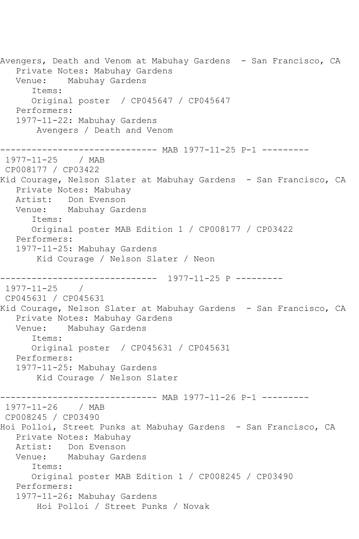Avengers, Death and Venom at Mabuhay Gardens - San Francisco, CA Private Notes: Mabuhay Gardens Venue: Mabuhay Gardens Items: Original poster / CP045647 / CP045647 Performers: 1977-11-22: Mabuhay Gardens Avengers / Death and Venom ------------------------------ MAB 1977-11-25 P-1 --------- 1977-11-25 / MAB CP008177 / CP03422 Kid Courage, Nelson Slater at Mabuhay Gardens - San Francisco, CA Private Notes: Mabuhay Artist: Don Evenson Venue: Mabuhay Gardens Items: Original poster MAB Edition 1 / CP008177 / CP03422 Performers: 1977-11-25: Mabuhay Gardens Kid Courage / Nelson Slater / Neon ------------------------------ 1977-11-25 P --------- 1977-11-25 / CP045631 / CP045631 Kid Courage, Nelson Slater at Mabuhay Gardens - San Francisco, CA Private Notes: Mabuhay Gardens Venue: Mabuhay Gardens Items: Original poster / CP045631 / CP045631 Performers: 1977-11-25: Mabuhay Gardens Kid Courage / Nelson Slater ---------- MAB 1977-11-26 P-1 ---------1977-11-26 / MAB CP008245 / CP03490 Hoi Polloi, Street Punks at Mabuhay Gardens - San Francisco, CA Private Notes: Mabuhay Artist: Don Evenson Venue: Mabuhay Gardens Items: Original poster MAB Edition 1 / CP008245 / CP03490 Performers: 1977-11-26: Mabuhay Gardens Hoi Polloi / Street Punks / Novak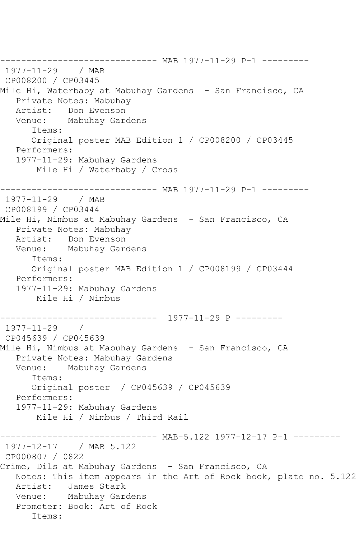------------------------------ MAB 1977-11-29 P-1 --------- 1977-11-29 / MAB CP008200 / CP03445 Mile Hi, Waterbaby at Mabuhay Gardens - San Francisco, CA Private Notes: Mabuhay<br>Artist: Don Evenson Don Evenson Venue: Mabuhay Gardens Items: Original poster MAB Edition 1 / CP008200 / CP03445 Performers: 1977-11-29: Mabuhay Gardens Mile Hi / Waterbaby / Cross ------------------------------ MAB 1977-11-29 P-1 --------- 1977-11-29 / MAB CP008199 / CP03444 Mile Hi, Nimbus at Mabuhay Gardens - San Francisco, CA Private Notes: Mabuhay Artist: Don Evenson Venue: Mabuhay Gardens Items: Original poster MAB Edition 1 / CP008199 / CP03444 Performers: 1977-11-29: Mabuhay Gardens Mile Hi / Nimbus ------------------------------ 1977-11-29 P ---------  $1977 - 11 - 29$ CP045639 / CP045639 Mile Hi, Nimbus at Mabuhay Gardens - San Francisco, CA Private Notes: Mabuhay Gardens Venue: Mabuhay Gardens Items: Original poster / CP045639 / CP045639 Performers: 1977-11-29: Mabuhay Gardens Mile Hi / Nimbus / Third Rail ------------------------------ MAB-5.122 1977-12-17 P-1 --------- 1977-12-17 / MAB 5.122 CP000807 / 0822 Crime, Dils at Mabuhay Gardens - San Francisco, CA Notes: This item appears in the Art of Rock book, plate no. 5.122 Artist: James Stark Venue: Mabuhay Gardens Promoter: Book: Art of Rock Items: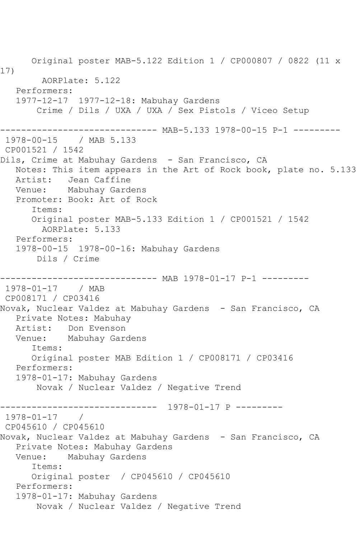Original poster MAB-5.122 Edition 1 / CP000807 / 0822 (11 x 17) AORPlate: 5.122 Performers: 1977-12-17 1977-12-18: Mabuhay Gardens Crime / Dils / UXA / UXA / Sex Pistols / Viceo Setup ------------------------------ MAB-5.133 1978-00-15 P-1 --------- 1978-00-15 / MAB 5.133 CP001521 / 1542 Dils, Crime at Mabuhay Gardens - San Francisco, CA Notes: This item appears in the Art of Rock book, plate no. 5.133 Artist: Jean Caffine Venue: Mabuhay Gardens Promoter: Book: Art of Rock Items: Original poster MAB-5.133 Edition 1 / CP001521 / 1542 AORPlate: 5.133 Performers: 1978-00-15 1978-00-16: Mabuhay Gardens Dils / Crime --------------- MAB 1978-01-17 P-1 ---------1978-01-17 / MAB CP008171 / CP03416 Novak, Nuclear Valdez at Mabuhay Gardens - San Francisco, CA Private Notes: Mabuhay Artist: Don Evenson Venue: Mabuhay Gardens Items: Original poster MAB Edition 1 / CP008171 / CP03416 Performers: 1978-01-17: Mabuhay Gardens Novak / Nuclear Valdez / Negative Trend ------------------------------ 1978-01-17 P --------- 1978-01-17 / CP045610 / CP045610 Novak, Nuclear Valdez at Mabuhay Gardens - San Francisco, CA Private Notes: Mabuhay Gardens Venue: Mabuhay Gardens Items: Original poster / CP045610 / CP045610 Performers: 1978-01-17: Mabuhay Gardens Novak / Nuclear Valdez / Negative Trend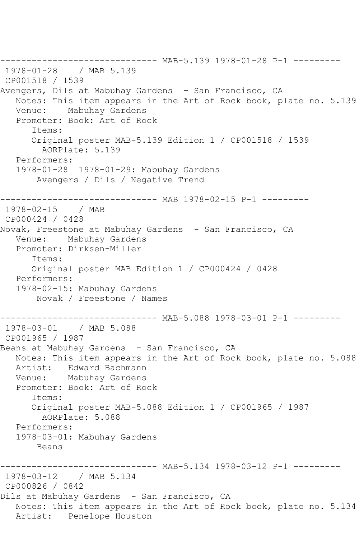------------------------------ MAB-5.139 1978-01-28 P-1 --------- 1978-01-28 / MAB 5.139 CP001518 / 1539 Avengers, Dils at Mabuhay Gardens - San Francisco, CA Notes: This item appears in the Art of Rock book, plate no. 5.139 Venue: Mabuhay Gardens Promoter: Book: Art of Rock Items: Original poster MAB-5.139 Edition 1 / CP001518 / 1539 AORPlate: 5.139 Performers: 1978-01-28 1978-01-29: Mabuhay Gardens Avengers / Dils / Negative Trend ------------------------------ MAB 1978-02-15 P-1 --------- 1978-02-15 / MAB CP000424 / 0428 Novak, Freestone at Mabuhay Gardens - San Francisco, CA Venue: Mabuhay Gardens Promoter: Dirksen-Miller Items: Original poster MAB Edition 1 / CP000424 / 0428 Performers: 1978-02-15: Mabuhay Gardens Novak / Freestone / Names ------------------------------ MAB-5.088 1978-03-01 P-1 --------- 1978-03-01 / MAB 5.088 CP001965 / 1987 Beans at Mabuhay Gardens - San Francisco, CA Notes: This item appears in the Art of Rock book, plate no. 5.088 Artist: Edward Bachmann Venue: Mabuhay Gardens Promoter: Book: Art of Rock Items: Original poster MAB-5.088 Edition 1 / CP001965 / 1987 AORPlate: 5.088 Performers: 1978-03-01: Mabuhay Gardens Beans ------------------------------ MAB-5.134 1978-03-12 P-1 --------- 1978-03-12 / MAB 5.134 CP000826 / 0842 Dils at Mabuhay Gardens - San Francisco, CA Notes: This item appears in the Art of Rock book, plate no. 5.134 Artist: Penelope Houston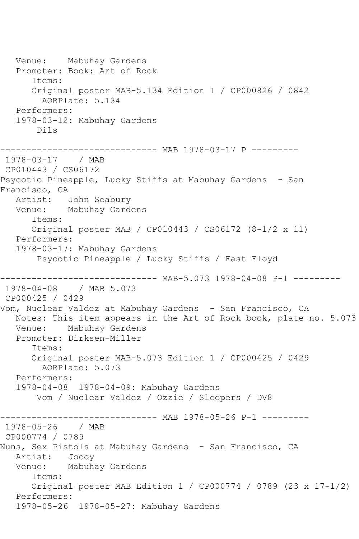Venue: Mabuhay Gardens Promoter: Book: Art of Rock Items: Original poster MAB-5.134 Edition 1 / CP000826 / 0842 AORPlate: 5.134 Performers: 1978-03-12: Mabuhay Gardens Dils ------------------------------ MAB 1978-03-17 P --------- 1978-03-17 / MAB CP010443 / CS06172 Psycotic Pineapple, Lucky Stiffs at Mabuhay Gardens - San Francisco, CA Artist: John Seabury Venue: Mabuhay Gardens Items: Original poster MAB / CP010443 / CS06172 (8-1/2 x 11) Performers: 1978-03-17: Mabuhay Gardens Psycotic Pineapple / Lucky Stiffs / Fast Floyd ------------------------------ MAB-5.073 1978-04-08 P-1 --------- 1978-04-08 / MAB 5.073 CP000425 / 0429 Vom, Nuclear Valdez at Mabuhay Gardens - San Francisco, CA Notes: This item appears in the Art of Rock book, plate no. 5.073 Venue: Mabuhay Gardens Promoter: Dirksen-Miller Items: Original poster MAB-5.073 Edition 1 / CP000425 / 0429 AORPlate: 5.073 Performers: 1978-04-08 1978-04-09: Mabuhay Gardens Vom / Nuclear Valdez / Ozzie / Sleepers / DV8 ------------------------------ MAB 1978-05-26 P-1 --------- 1978-05-26 / MAB CP000774 / 0789 Nuns, Sex Pistols at Mabuhay Gardens - San Francisco, CA Artist: Jocoy Venue: Mabuhay Gardens Items: Original poster MAB Edition 1 / CP000774 / 0789 (23 x 17-1/2) Performers: 1978-05-26 1978-05-27: Mabuhay Gardens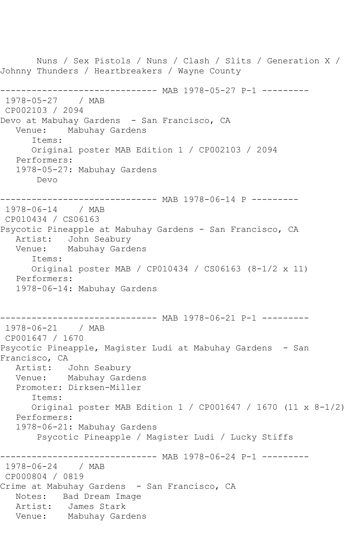Nuns / Sex Pistols / Nuns / Clash / Slits / Generation X / Johnny Thunders / Heartbreakers / Wayne County ------------------------------ MAB 1978-05-27 P-1 --------- 1978-05-27 / MAB CP002103 / 2094 Devo at Mabuhay Gardens - San Francisco, CA Venue: Mabuhay Gardens Items: Original poster MAB Edition 1 / CP002103 / 2094 Performers: 1978-05-27: Mabuhay Gardens Devo ------------------------------ MAB 1978-06-14 P --------- 1978-06-14 / MAB CP010434 / CS06163 Psycotic Pineapple at Mabuhay Gardens - San Francisco, CA Artist: John Seabury<br>Venue: Mabuhav Gard Mabuhay Gardens Items: Original poster MAB / CP010434 / CS06163 (8-1/2 x 11) Performers: 1978-06-14: Mabuhay Gardens ------------------------------ MAB 1978-06-21 P-1 --------- 1978-06-21 / MAB CP001647 / 1670 Psycotic Pineapple, Magister Ludi at Mabuhay Gardens - San Francisco, CA<br>Artist: John Seabury Venue: Mabuhay Gardens Promoter: Dirksen-Miller Items: Original poster MAB Edition 1 / CP001647 / 1670 (11 x 8-1/2) Performers: 1978-06-21: Mabuhay Gardens Psycotic Pineapple / Magister Ludi / Lucky Stiffs ------------ MAB 1978-06-24 P-1 ---------1978-06-24 / MAB CP000804 / 0819 Crime at Mabuhay Gardens - San Francisco, CA Notes: Bad Dream Image Artist: James Stark Venue: Mabuhay Gardens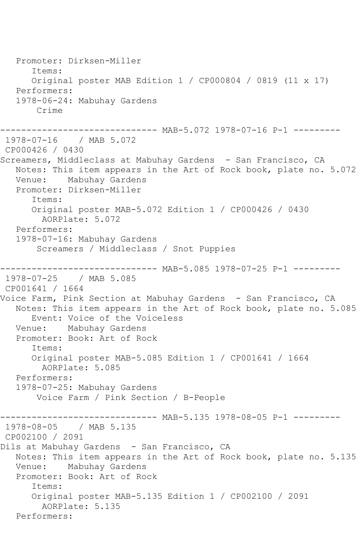Promoter: Dirksen-Miller Items: Original poster MAB Edition 1 / CP000804 / 0819 (11 x 17) Performers: 1978-06-24: Mabuhay Gardens Crime ------------------------------ MAB-5.072 1978-07-16 P-1 --------- 1978-07-16 / MAB 5.072 CP000426 / 0430 Screamers, Middleclass at Mabuhay Gardens - San Francisco, CA Notes: This item appears in the Art of Rock book, plate no. 5.072 Venue: Mabuhay Gardens Promoter: Dirksen-Miller Items: Original poster MAB-5.072 Edition 1 / CP000426 / 0430 AORPlate: 5.072 Performers: 1978-07-16: Mabuhay Gardens Screamers / Middleclass / Snot Puppies ----- MAB-5.085 1978-07-25 P-1 ---------1978-07-25 / MAB 5.085 CP001641 / 1664 Voice Farm, Pink Section at Mabuhay Gardens - San Francisco, CA Notes: This item appears in the Art of Rock book, plate no. 5.085 Event: Voice of the Voiceless Venue: Mabuhay Gardens Promoter: Book: Art of Rock Items: Original poster MAB-5.085 Edition 1 / CP001641 / 1664 AORPlate: 5.085 Performers: 1978-07-25: Mabuhay Gardens Voice Farm / Pink Section / B-People ------------------------------ MAB-5.135 1978-08-05 P-1 --------- 1978-08-05 / MAB 5.135 CP002100 / 2091 Dils at Mabuhay Gardens - San Francisco, CA Notes: This item appears in the Art of Rock book, plate no. 5.135 Venue: Mabuhay Gardens Promoter: Book: Art of Rock Items: Original poster MAB-5.135 Edition 1 / CP002100 / 2091 AORPlate: 5.135 Performers: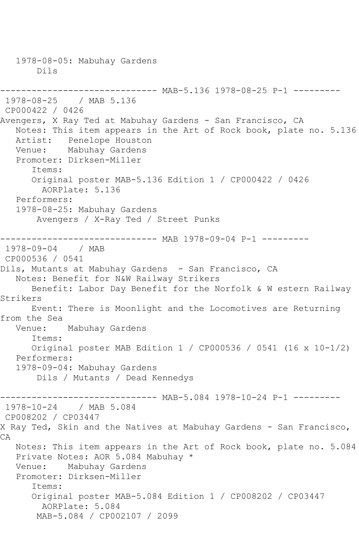1978-08-05: Mabuhay Gardens Dils ------------------------------ MAB-5.136 1978-08-25 P-1 --------- 1978-08-25 / MAB 5.136 CP000422 / 0426 Avengers, X Ray Ted at Mabuhay Gardens - San Francisco, CA Notes: This item appears in the Art of Rock book, plate no. 5.136 Artist: Penelope Houston Venue: Mabuhay Gardens Promoter: Dirksen-Miller Items: Original poster MAB-5.136 Edition 1 / CP000422 / 0426 AORPlate: 5.136 Performers: 1978-08-25: Mabuhay Gardens Avengers / X-Ray Ted / Street Punks ------------------------------ MAB 1978-09-04 P-1 --------- 1978-09-04 / MAB CP000536 / 0541 Dils, Mutants at Mabuhay Gardens - San Francisco, CA Notes: Benefit for N&W Railway Strikers Benefit: Labor Day Benefit for the Norfolk & W estern Railway Strikers Event: There is Moonlight and the Locomotives are Returning from the Sea Venue: Mabuhay Gardens Items: Original poster MAB Edition 1 / CP000536 / 0541 (16 x 10-1/2) Performers: 1978-09-04: Mabuhay Gardens Dils / Mutants / Dead Kennedys ----- MAB-5.084 1978-10-24 P-1 ---------1978-10-24 / MAB 5.084 CP008202 / CP03447 X Ray Ted, Skin and the Natives at Mabuhay Gardens - San Francisco, CA Notes: This item appears in the Art of Rock book, plate no. 5.084 Private Notes: AOR 5.084 Mabuhay \* Venue: Mabuhay Gardens Promoter: Dirksen-Miller Items: Original poster MAB-5.084 Edition 1 / CP008202 / CP03447 AORPlate: 5.084 MAB-5.084 / CP002107 / 2099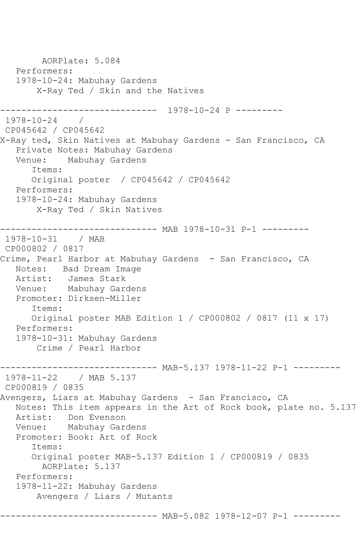AORPlate: 5.084 Performers: 1978-10-24: Mabuhay Gardens X-Ray Ted / Skin and the Natives ------------------------------ 1978-10-24 P --------- 1978-10-24 / CP045642 / CP045642 X-Ray ted, Skin Natives at Mabuhay Gardens - San Francisco, CA Private Notes: Mabuhay Gardens Mabuhay Gardens Items: Original poster / CP045642 / CP045642 Performers: 1978-10-24: Mabuhay Gardens X-Ray Ted / Skin Natives ------------------------------ MAB 1978-10-31 P-1 --------- 1978-10-31 / MAB CP000802 / 0817 Crime, Pearl Harbor at Mabuhay Gardens - San Francisco, CA Notes: Bad Dream Image Artist: James Stark Venue: Mabuhay Gardens Promoter: Dirksen-Miller Items: Original poster MAB Edition 1 / CP000802 / 0817 (11 x 17) Performers: 1978-10-31: Mabuhay Gardens Crime / Pearl Harbor -------------- MAB-5.137 1978-11-22 P-1 ---------1978-11-22 / MAB 5.137 CP000819 / 0835 Avengers, Liars at Mabuhay Gardens - San Francisco, CA Notes: This item appears in the Art of Rock book, plate no. 5.137 Artist: Don Evenson Venue: Mabuhay Gardens Promoter: Book: Art of Rock Items: Original poster MAB-5.137 Edition 1 / CP000819 / 0835 AORPlate: 5.137 Performers: 1978-11-22: Mabuhay Gardens Avengers / Liars / Mutants -------- MAB-5.082 1978-12-07 P-1 ---------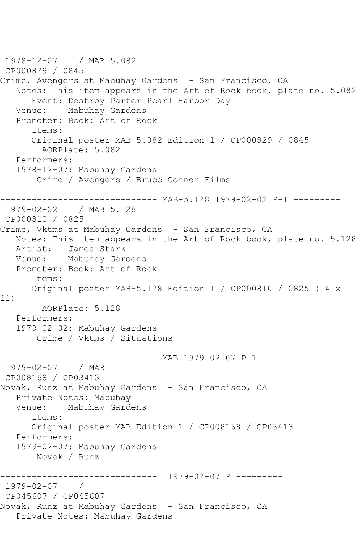1978-12-07 / MAB 5.082 CP000829 / 0845 Crime, Avengers at Mabuhay Gardens - San Francisco, CA Notes: This item appears in the Art of Rock book, plate no. 5.082 Event: Destroy Parter Pearl Harbor Day Mabuhay Gardens Promoter: Book: Art of Rock Items: Original poster MAB-5.082 Edition 1 / CP000829 / 0845 AORPlate: 5.082 Performers: 1978-12-07: Mabuhay Gardens Crime / Avengers / Bruce Conner Films ------------------------------ MAB-5.128 1979-02-02 P-1 --------- 1979-02-02 / MAB 5.128 CP000810 / 0825 Crime, Vktms at Mabuhay Gardens - San Francisco, CA Notes: This item appears in the Art of Rock book, plate no. 5.128 Artist: James Stark Venue: Mabuhay Gardens Promoter: Book: Art of Rock Items: Original poster MAB-5.128 Edition 1 / CP000810 / 0825 (14 x 11) AORPlate: 5.128 Performers: 1979-02-02: Mabuhay Gardens Crime / Vktms / Situations ------------------------------ MAB 1979-02-07 P-1 --------- 1979-02-07 / MAB CP008168 / CP03413 Novak, Runz at Mabuhay Gardens - San Francisco, CA Private Notes: Mabuhay Venue: Mabuhay Gardens Items: Original poster MAB Edition 1 / CP008168 / CP03413 Performers: 1979-02-07: Mabuhay Gardens Novak / Runz ------------------------------ 1979-02-07 P --------- 1979-02-07 / CP045607 / CP045607 Novak, Runz at Mabuhay Gardens - San Francisco, CA Private Notes: Mabuhay Gardens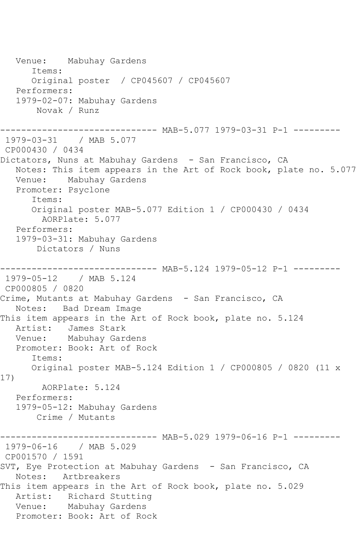Venue: Mabuhay Gardens Items: Original poster / CP045607 / CP045607 Performers: 1979-02-07: Mabuhay Gardens Novak / Runz ------------------------------ MAB-5.077 1979-03-31 P-1 --------- 1979-03-31 / MAB 5.077 CP000430 / 0434 Dictators, Nuns at Mabuhay Gardens - San Francisco, CA Notes: This item appears in the Art of Rock book, plate no. 5.077 Venue: Mabuhay Gardens Promoter: Psyclone Items: Original poster MAB-5.077 Edition 1 / CP000430 / 0434 AORPlate: 5.077 Performers: 1979-03-31: Mabuhay Gardens Dictators / Nuns ----- MAB-5.124 1979-05-12 P-1 ---------1979-05-12 / MAB 5.124 CP000805 / 0820 Crime, Mutants at Mabuhay Gardens - San Francisco, CA Notes: Bad Dream Image This item appears in the Art of Rock book, plate no. 5.124 Artist: James Stark Venue: Mabuhay Gardens Promoter: Book: Art of Rock Items: Original poster MAB-5.124 Edition 1 / CP000805 / 0820 (11 x 17) AORPlate: 5.124 Performers: 1979-05-12: Mabuhay Gardens Crime / Mutants ------------------------------ MAB-5.029 1979-06-16 P-1 --------- 1979-06-16 / MAB 5.029 CP001570 / 1591 SVT, Eye Protection at Mabuhay Gardens - San Francisco, CA Notes: Artbreakers This item appears in the Art of Rock book, plate no. 5.029 Artist: Richard Stutting Venue: Mabuhay Gardens Promoter: Book: Art of Rock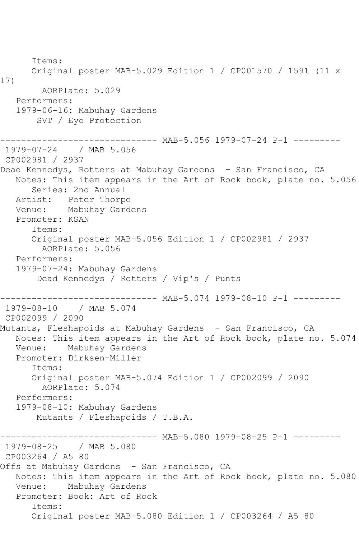Items: Original poster MAB-5.029 Edition 1 / CP001570 / 1591 (11 x 17) AORPlate: 5.029 Performers: 1979-06-16: Mabuhay Gardens SVT / Eye Protection ------------ MAB-5.056 1979-07-24 P-1 ---------1979-07-24 / MAB 5.056 CP002981 / 2937 Dead Kennedys, Rotters at Mabuhay Gardens - San Francisco, CA Notes: This item appears in the Art of Rock book, plate no. 5.056 Series: 2nd Annual Artist: Peter Thorpe Venue: Mabuhay Gardens Promoter: KSAN Items: Original poster MAB-5.056 Edition 1 / CP002981 / 2937 AORPlate: 5.056 Performers: 1979-07-24: Mabuhay Gardens Dead Kennedys / Rotters / Vip's / Punts ------------------------------ MAB-5.074 1979-08-10 P-1 --------- 1979-08-10 / MAB 5.074 CP002099 / 2090 Mutants, Fleshapoids at Mabuhay Gardens - San Francisco, CA Notes: This item appears in the Art of Rock book, plate no. 5.074 Venue: Mabuhay Gardens Promoter: Dirksen-Miller Items: Original poster MAB-5.074 Edition 1 / CP002099 / 2090 AORPlate: 5.074 Performers: 1979-08-10: Mabuhay Gardens Mutants / Fleshapoids / T.B.A. --------------- MAB-5.080 1979-08-25 P-1 ---------1979-08-25 / MAB 5.080 CP003264 / A5 80 Offs at Mabuhay Gardens - San Francisco, CA Notes: This item appears in the Art of Rock book, plate no. 5.080 Venue: Mabuhay Gardens Promoter: Book: Art of Rock Items: Original poster MAB-5.080 Edition 1 / CP003264 / A5 80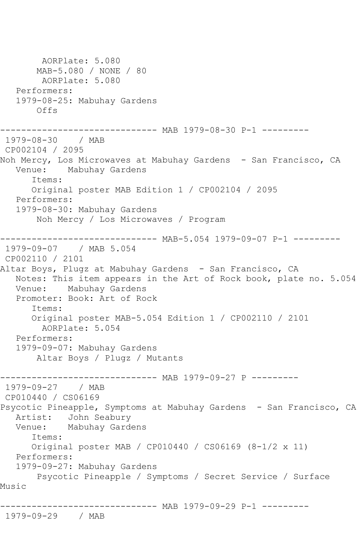```
 AORPlate: 5.080 
        MAB-5.080 / NONE / 80
        AORPlate: 5.080 
   Performers:
   1979-08-25: Mabuhay Gardens
       Offs
------------------------------ MAB 1979-08-30 P-1 ---------
1979-08-30 / MAB
CP002104 / 2095
Noh Mercy, Los Microwaves at Mabuhay Gardens - San Francisco, CA
   Venue: Mabuhay Gardens
       Items:
       Original poster MAB Edition 1 / CP002104 / 2095
   Performers:
   1979-08-30: Mabuhay Gardens
        Noh Mercy / Los Microwaves / Program
                -------------- MAB-5.054 1979-09-07 P-1 ---------
1979-09-07 / MAB 5.054
CP002110 / 2101
Altar Boys, Plugz at Mabuhay Gardens - San Francisco, CA
   Notes: This item appears in the Art of Rock book, plate no. 5.054
   Venue: Mabuhay Gardens
   Promoter: Book: Art of Rock
       Items:
       Original poster MAB-5.054 Edition 1 / CP002110 / 2101
        AORPlate: 5.054 
   Performers:
   1979-09-07: Mabuhay Gardens
        Altar Boys / Plugz / Mutants
------------------------------ MAB 1979-09-27 P ---------
1979-09-27 / MAB 
CP010440 / CS06169
Psycotic Pineapple, Symptoms at Mabuhay Gardens - San Francisco, CA
   Artist: John Seabury
   Venue: Mabuhay Gardens
      Items:
       Original poster MAB / CP010440 / CS06169 (8-1/2 x 11)
   Performers:
   1979-09-27: Mabuhay Gardens
        Psycotic Pineapple / Symptoms / Secret Service / Surface 
Music
          ------------------------------ MAB 1979-09-29 P-1 ---------
1979-09-29 / MAB
```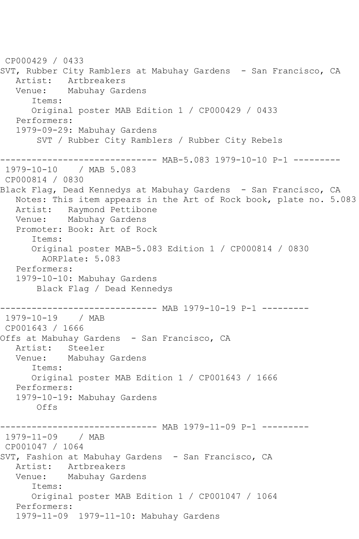CP000429 / 0433 SVT, Rubber City Ramblers at Mabuhay Gardens - San Francisco, CA Artist: Artbreakers Venue: Mabuhay Gardens Items: Original poster MAB Edition 1 / CP000429 / 0433 Performers: 1979-09-29: Mabuhay Gardens SVT / Rubber City Ramblers / Rubber City Rebels ------------------------------ MAB-5.083 1979-10-10 P-1 --------- 1979-10-10 / MAB 5.083 CP000814 / 0830 Black Flag, Dead Kennedys at Mabuhay Gardens - San Francisco, CA Notes: This item appears in the Art of Rock book, plate no. 5.083 Artist: Raymond Pettibone Venue: Mabuhay Gardens Promoter: Book: Art of Rock Items: Original poster MAB-5.083 Edition 1 / CP000814 / 0830 AORPlate: 5.083 Performers: 1979-10-10: Mabuhay Gardens Black Flag / Dead Kennedys ------------------------------ MAB 1979-10-19 P-1 --------- 1979-10-19 / MAB CP001643 / 1666 Offs at Mabuhay Gardens - San Francisco, CA Artist: Steeler Venue: Mabuhay Gardens Items: Original poster MAB Edition 1 / CP001643 / 1666 Performers: 1979-10-19: Mabuhay Gardens Offs ------------------------------ MAB 1979-11-09 P-1 --------- 1979-11-09 / MAB CP001047 / 1064 SVT, Fashion at Mabuhay Gardens - San Francisco, CA Artist: Artbreakers Venue: Mabuhay Gardens Items: Original poster MAB Edition 1 / CP001047 / 1064 Performers: 1979-11-09 1979-11-10: Mabuhay Gardens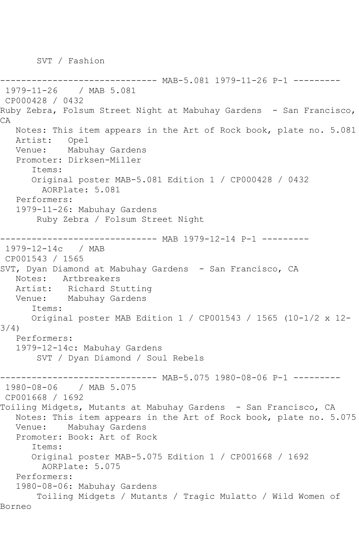SVT / Fashion

----------- MAB-5.081 1979-11-26 P-1 ---------1979-11-26 / MAB 5.081 CP000428 / 0432 Ruby Zebra, Folsum Street Night at Mabuhay Gardens - San Francisco, CA Notes: This item appears in the Art of Rock book, plate no. 5.081 Artist: Opel Venue: Mabuhay Gardens Promoter: Dirksen-Miller Items: Original poster MAB-5.081 Edition 1 / CP000428 / 0432 AORPlate: 5.081 Performers: 1979-11-26: Mabuhay Gardens Ruby Zebra / Folsum Street Night -------------- MAB 1979-12-14 P-1 ---------1979-12-14c / MAB CP001543 / 1565 SVT, Dyan Diamond at Mabuhay Gardens - San Francisco, CA Notes: Artbreakers Artist: Richard Stutting Venue: Mabuhay Gardens Items: Original poster MAB Edition 1 / CP001543 / 1565 (10-1/2 x 12- 3/4) Performers: 1979-12-14c: Mabuhay Gardens SVT / Dyan Diamond / Soul Rebels ------------------------------ MAB-5.075 1980-08-06 P-1 --------- 1980-08-06 / MAB 5.075 CP001668 / 1692 Toiling Midgets, Mutants at Mabuhay Gardens - San Francisco, CA Notes: This item appears in the Art of Rock book, plate no. 5.075 Venue: Mabuhay Gardens Promoter: Book: Art of Rock Items: Original poster MAB-5.075 Edition 1 / CP001668 / 1692 AORPlate: 5.075 Performers: 1980-08-06: Mabuhay Gardens Toiling Midgets / Mutants / Tragic Mulatto / Wild Women of Borneo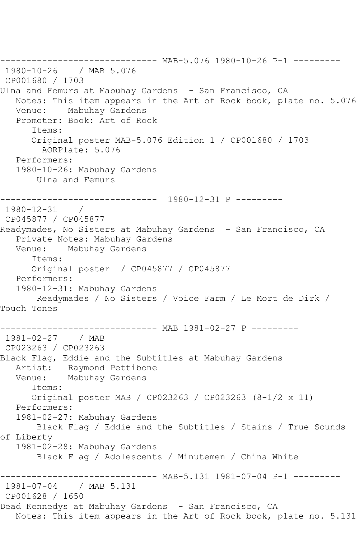------------------------------ MAB-5.076 1980-10-26 P-1 --------- 1980-10-26 / MAB 5.076 CP001680 / 1703 Ulna and Femurs at Mabuhay Gardens - San Francisco, CA Notes: This item appears in the Art of Rock book, plate no. 5.076<br>Venue: Mabuhay Gardens Mabuhay Gardens Promoter: Book: Art of Rock Items: Original poster MAB-5.076 Edition 1 / CP001680 / 1703 AORPlate: 5.076 Performers: 1980-10-26: Mabuhay Gardens Ulna and Femurs ------------------------------ 1980-12-31 P --------- 1980-12-31 / CP045877 / CP045877 Readymades, No Sisters at Mabuhay Gardens - San Francisco, CA Private Notes: Mabuhay Gardens Venue: Mabuhay Gardens Items: Original poster / CP045877 / CP045877 Performers: 1980-12-31: Mabuhay Gardens Readymades / No Sisters / Voice Farm / Le Mort de Dirk / Touch Tones ------------------------------ MAB 1981-02-27 P --------- 1981-02-27 / MAB CP023263 / CP023263 Black Flag, Eddie and the Subtitles at Mabuhay Gardens Artist: Raymond Pettibone<br>Venue: Mabuhav Gardens Mabuhay Gardens Items: Original poster MAB / CP023263 / CP023263 (8-1/2 x 11) Performers: 1981-02-27: Mabuhay Gardens Black Flag / Eddie and the Subtitles / Stains / True Sounds of Liberty 1981-02-28: Mabuhay Gardens Black Flag / Adolescents / Minutemen / China White ------------------------------ MAB-5.131 1981-07-04 P-1 --------- 1981-07-04 / MAB 5.131 CP001628 / 1650 Dead Kennedys at Mabuhay Gardens - San Francisco, CA Notes: This item appears in the Art of Rock book, plate no. 5.131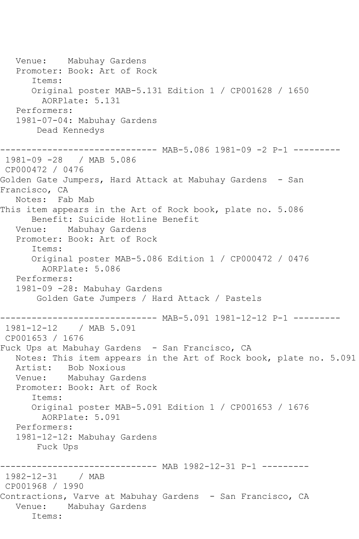Venue: Mabuhay Gardens Promoter: Book: Art of Rock Items: Original poster MAB-5.131 Edition 1 / CP001628 / 1650 AORPlate: 5.131 Performers: 1981-07-04: Mabuhay Gardens Dead Kennedys ------------------------------ MAB-5.086 1981-09 -2 P-1 --------- 1981-09 -28 / MAB 5.086 CP000472 / 0476 Golden Gate Jumpers, Hard Attack at Mabuhay Gardens - San Francisco, CA Notes: Fab Mab This item appears in the Art of Rock book, plate no. 5.086 Benefit: Suicide Hotline Benefit Venue: Mabuhay Gardens Promoter: Book: Art of Rock Items: Original poster MAB-5.086 Edition 1 / CP000472 / 0476 AORPlate: 5.086 Performers: 1981-09 -28: Mabuhay Gardens Golden Gate Jumpers / Hard Attack / Pastels ------------------------------ MAB-5.091 1981-12-12 P-1 --------- 1981-12-12 / MAB 5.091 CP001653 / 1676 Fuck Ups at Mabuhay Gardens - San Francisco, CA Notes: This item appears in the Art of Rock book, plate no. 5.091 Artist: Bob Noxious Venue: Mabuhay Gardens Promoter: Book: Art of Rock Items: Original poster MAB-5.091 Edition 1 / CP001653 / 1676 AORPlate: 5.091 Performers: 1981-12-12: Mabuhay Gardens Fuck Ups --------------- MAB 1982-12-31 P-1 ---------1982-12-31 / MAB CP001968 / 1990 Contractions, Varve at Mabuhay Gardens - San Francisco, CA Venue: Mabuhay Gardens Items: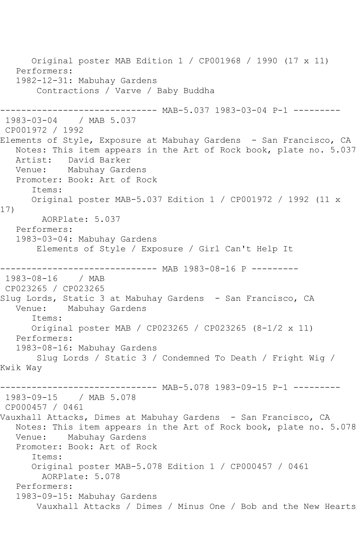Original poster MAB Edition 1 / CP001968 / 1990 (17 x 11) Performers: 1982-12-31: Mabuhay Gardens Contractions / Varve / Baby Buddha ---------- MAB-5.037 1983-03-04 P-1 ---------1983-03-04 / MAB 5.037 CP001972 / 1992 Elements of Style, Exposure at Mabuhay Gardens - San Francisco, CA Notes: This item appears in the Art of Rock book, plate no. 5.037 Artist: David Barker Venue: Mabuhay Gardens Promoter: Book: Art of Rock Items: Original poster MAB-5.037 Edition 1 / CP001972 / 1992 (11 x 17) AORPlate: 5.037 Performers: 1983-03-04: Mabuhay Gardens Elements of Style / Exposure / Girl Can't Help It ------------ MAB 1983-08-16 P ---------1983-08-16 / MAB CP023265 / CP023265 Slug Lords, Static 3 at Mabuhay Gardens - San Francisco, CA Venue: Mabuhay Gardens Items: Original poster MAB / CP023265 / CP023265 (8-1/2 x 11) Performers: 1983-08-16: Mabuhay Gardens Slug Lords / Static 3 / Condemned To Death / Fright Wig / Kwik Way ------------------------------ MAB-5.078 1983-09-15 P-1 --------- 1983-09-15 / MAB 5.078 CP000457 / 0461 Vauxhall Attacks, Dimes at Mabuhay Gardens - San Francisco, CA Notes: This item appears in the Art of Rock book, plate no. 5.078 Venue: Mabuhay Gardens Promoter: Book: Art of Rock Items: Original poster MAB-5.078 Edition 1 / CP000457 / 0461 AORPlate: 5.078 Performers: 1983-09-15: Mabuhay Gardens Vauxhall Attacks / Dimes / Minus One / Bob and the New Hearts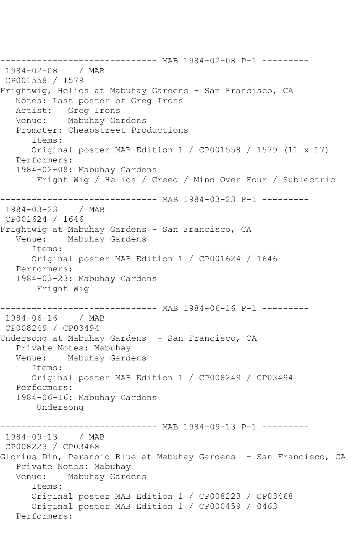------------------------------ MAB 1984-02-08 P-1 --------- 1984-02-08 / MAB CP001558 / 1579 Frightwig, Helios at Mabuhay Gardens - San Francisco, CA Notes: Last poster of Greg Irons Artist: Greg Irons Venue: Mabuhay Gardens Promoter: Cheapstreet Productions Items: Original poster MAB Edition 1 / CP001558 / 1579 (11 x 17) Performers: 1984-02-08: Mabuhay Gardens Fright Wig / Helios / Creed / Mind Over Four / Sublectric ----------- MAB 1984-03-23 P-1 ---------1984-03-23 / MAB CP001624 / 1646 Frightwig at Mabuhay Gardens - San Francisco, CA Venue: Mabuhay Gardens Items: Original poster MAB Edition 1 / CP001624 / 1646 Performers: 1984-03-23: Mabuhay Gardens Fright Wig ------------------------------ MAB 1984-06-16 P-1 --------- 1984-06-16 / MAB CP008249 / CP03494 Undersong at Mabuhay Gardens - San Francisco, CA Private Notes: Mabuhay<br>Venue: Mabuhav Gard Mabuhay Gardens Items: Original poster MAB Edition 1 / CP008249 / CP03494 Performers: 1984-06-16: Mabuhay Gardens Undersong ---------- MAB 1984-09-13 P-1 ---------1984-09-13 / MAB CP008223 / CP03468 Glorius Din, Paranoid Blue at Mabuhay Gardens - San Francisco, CA Private Notes: Mabuhay Venue: Mabuhay Gardens Items: Original poster MAB Edition 1 / CP008223 / CP03468 Original poster MAB Edition 1 / CP000459 / 0463 Performers: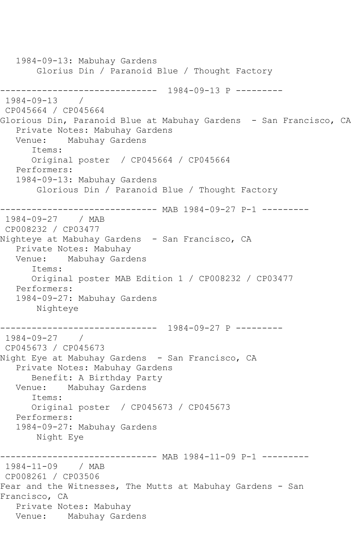1984-09-13: Mabuhay Gardens Glorius Din / Paranoid Blue / Thought Factory ------------------------------ 1984-09-13 P ---------  $1984 - 09 - 13$ CP045664 / CP045664 Glorious Din, Paranoid Blue at Mabuhay Gardens - San Francisco, CA Private Notes: Mabuhay Gardens Venue: Mabuhay Gardens Items: Original poster / CP045664 / CP045664 Performers: 1984-09-13: Mabuhay Gardens Glorious Din / Paranoid Blue / Thought Factory ------------------------------ MAB 1984-09-27 P-1 --------- 1984-09-27 / MAB CP008232 / CP03477 Nighteye at Mabuhay Gardens - San Francisco, CA Private Notes: Mabuhay Venue: Mabuhay Gardens Items: Original poster MAB Edition 1 / CP008232 / CP03477 Performers: 1984-09-27: Mabuhay Gardens Nighteye ------------------------------ 1984-09-27 P --------- 1984-09-27 / CP045673 / CP045673 Night Eye at Mabuhay Gardens - San Francisco, CA Private Notes: Mabuhay Gardens Benefit: A Birthday Party Venue: Mabuhay Gardens Items: Original poster / CP045673 / CP045673 Performers: 1984-09-27: Mabuhay Gardens Night Eye ---------- MAB 1984-11-09 P-1 ---------1984-11-09 / MAB CP008261 / CP03506 Fear and the Witnesses, The Mutts at Mabuhay Gardens - San Francisco, CA Private Notes: Mabuhay Venue: Mabuhay Gardens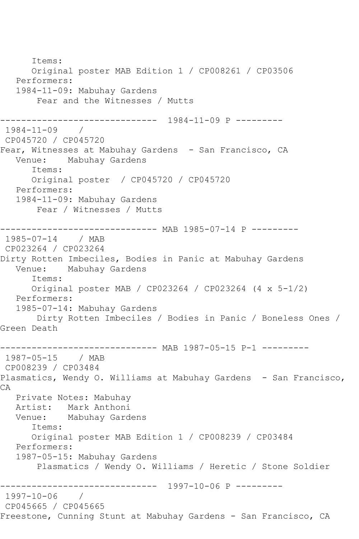Items: Original poster MAB Edition 1 / CP008261 / CP03506 Performers: 1984-11-09: Mabuhay Gardens Fear and the Witnesses / Mutts ------------------------------ 1984-11-09 P --------- 1984-11-09 / CP045720 / CP045720 Fear, Witnesses at Mabuhay Gardens - San Francisco, CA<br>Venue: Mabuhay Gardens Mabuhay Gardens Items: Original poster / CP045720 / CP045720 Performers: 1984-11-09: Mabuhay Gardens Fear / Witnesses / Mutts ------------------------------ MAB 1985-07-14 P --------- 1985-07-14 / MAB CP023264 / CP023264 Dirty Rotten Imbeciles, Bodies in Panic at Mabuhay Gardens Venue: Mabuhay Gardens Items: Original poster MAB / CP023264 / CP023264 (4 x 5-1/2) Performers: 1985-07-14: Mabuhay Gardens Dirty Rotten Imbeciles / Bodies in Panic / Boneless Ones / Green Death ------------------------------ MAB 1987-05-15 P-1 ---------<br>1987-05-15 / MAB 1987-05-15 CP008239 / CP03484 Plasmatics, Wendy O. Williams at Mabuhay Gardens - San Francisco, CA Private Notes: Mabuhay Artist: Mark Anthoni Venue: Mabuhay Gardens Items: Original poster MAB Edition 1 / CP008239 / CP03484 Performers: 1987-05-15: Mabuhay Gardens Plasmatics / Wendy O. Williams / Heretic / Stone Soldier ------------------------------ 1997-10-06 P --------- 1997-10-06 / CP045665 / CP045665 Freestone, Cunning Stunt at Mabuhay Gardens - San Francisco, CA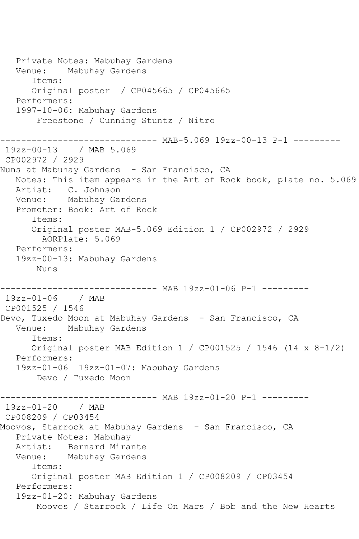Private Notes: Mabuhay Gardens Venue: Mabuhay Gardens Items: Original poster / CP045665 / CP045665 Performers: 1997-10-06: Mabuhay Gardens Freestone / Cunning Stuntz / Nitro ------------------------------ MAB-5.069 19zz-00-13 P-1 --------- 19zz-00-13 / MAB 5.069 CP002972 / 2929 Nuns at Mabuhay Gardens - San Francisco, CA Notes: This item appears in the Art of Rock book, plate no. 5.069 Artist: C. Johnson Venue: Mabuhay Gardens Promoter: Book: Art of Rock Items: Original poster MAB-5.069 Edition 1 / CP002972 / 2929 AORPlate: 5.069 Performers: 19zz-00-13: Mabuhay Gardens Nuns ------------------------------ MAB 19zz-01-06 P-1 --------- 19zz-01-06 / MAB CP001525 / 1546 Devo, Tuxedo Moon at Mabuhay Gardens - San Francisco, CA Venue: Mabuhay Gardens Items: Original poster MAB Edition 1 / CP001525 / 1546 (14 x 8-1/2) Performers: 19zz-01-06 19zz-01-07: Mabuhay Gardens Devo / Tuxedo Moon ------------------------------ MAB 19zz-01-20 P-1 --------- 19zz-01-20 / MAB CP008209 / CP03454 Moovos, Starrock at Mabuhay Gardens - San Francisco, CA Private Notes: Mabuhay Artist: Bernard Mirante Venue: Mabuhay Gardens Items: Original poster MAB Edition 1 / CP008209 / CP03454 Performers: 19zz-01-20: Mabuhay Gardens Moovos / Starrock / Life On Mars / Bob and the New Hearts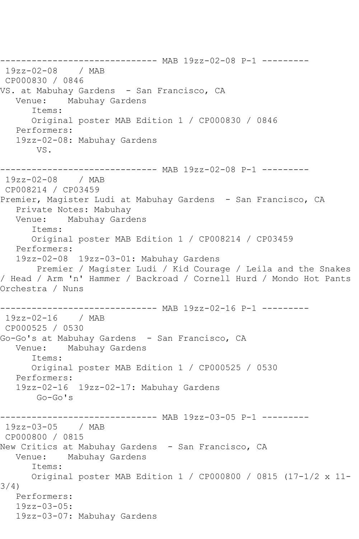------------------------------ MAB 19zz-02-08 P-1 --------- 19zz-02-08 / MAB CP000830 / 0846 VS. at Mabuhay Gardens – San Francisco, CA<br>Venue: Mabuhav Gardens Mabuhay Gardens Items: Original poster MAB Edition 1 / CP000830 / 0846 Performers: 19zz-02-08: Mabuhay Gardens VS. ------------------------------ MAB 19zz-02-08 P-1 --------- 19zz-02-08 / MAB CP008214 / CP03459 Premier, Magister Ludi at Mabuhay Gardens - San Francisco, CA Private Notes: Mabuhay Venue: Mabuhay Gardens Items: Original poster MAB Edition 1 / CP008214 / CP03459 Performers: 19zz-02-08 19zz-03-01: Mabuhay Gardens Premier / Magister Ludi / Kid Courage / Leila and the Snakes / Head / Arm 'n' Hammer / Backroad / Cornell Hurd / Mondo Hot Pants Orchestra / Nuns ------------------------------ MAB 19zz-02-16 P-1 --------- 19zz-02-16 / MAB CP000525 / 0530 Go-Go's at Mabuhay Gardens - San Francisco, CA Venue: Mabuhay Gardens Items: Original poster MAB Edition 1 / CP000525 / 0530 Performers: 19zz-02-16 19zz-02-17: Mabuhay Gardens  $G_0-G_0'$ 's ------------------------------ MAB 19zz-03-05 P-1 --------- 19zz-03-05 / MAB CP000800 / 0815 New Critics at Mabuhay Gardens - San Francisco, CA Venue: Mabuhay Gardens Items: Original poster MAB Edition 1 / CP000800 / 0815 (17-1/2 x 11- 3/4) Performers: 19zz-03-05: 19zz-03-07: Mabuhay Gardens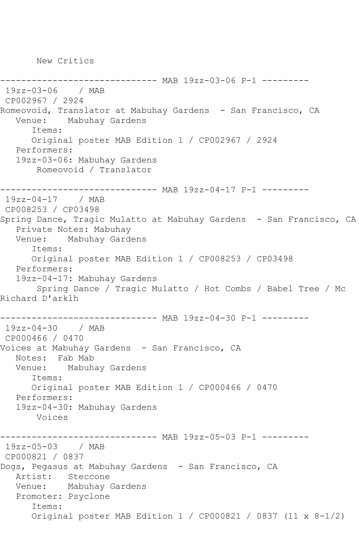New Critics

-------------- MAB 19zz-03-06 P-1 ---------19zz-03-06 / MAB CP002967 / 2924 Romeovoid, Translator at Mabuhay Gardens - San Francisco, CA Venue: Mabuhay Gardens Items: Original poster MAB Edition 1 / CP002967 / 2924 Performers: 19zz-03-06: Mabuhay Gardens Romeovoid / Translator ------------------------------ MAB 19zz-04-17 P-1 --------- 19zz-04-17 / MAB CP008253 / CP03498 Spring Dance, Tragic Mulatto at Mabuhay Gardens - San Francisco, CA Private Notes: Mabuhay<br>Venue: Mabuhay Garde Mabuhay Gardens Items: Original poster MAB Edition 1 / CP008253 / CP03498 Performers: 19zz-04-17: Mabuhay Gardens Spring Dance / Tragic Mulatto / Hot Combs / Babel Tree / Mc Richard D'arklh ------------------------------ MAB 19zz-04-30 P-1 --------- 19zz-04-30 / MAB CP000466 / 0470 Voices at Mabuhay Gardens - San Francisco, CA Notes: Fab Mab Venue: Mabuhay Gardens Items: Original poster MAB Edition 1 / CP000466 / 0470 Performers: 19zz-04-30: Mabuhay Gardens Voices ------------------------------ MAB 19zz-05-03 P-1 --------- 19zz-05-03 / MAB CP000821 / 0837 Dogs, Pegasus at Mabuhay Gardens - San Francisco, CA Artist: Steccone Venue: Mabuhay Gardens Promoter: Psyclone Items: Original poster MAB Edition 1 / CP000821 / 0837 (11 x 8-1/2)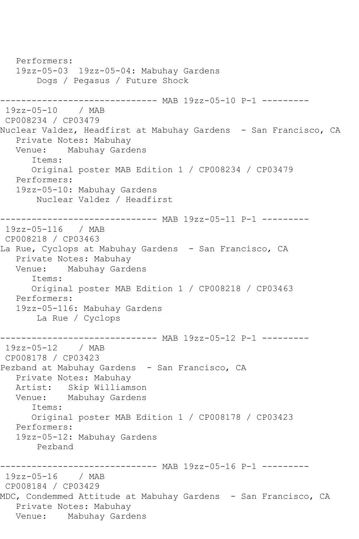Performers: 19zz-05-03 19zz-05-04: Mabuhay Gardens Dogs / Pegasus / Future Shock ------------------------------ MAB 19zz-05-10 P-1 --------- 19zz-05-10 / MAB CP008234 / CP03479 Nuclear Valdez, Headfirst at Mabuhay Gardens - San Francisco, CA Private Notes: Mabuhay Venue: Mabuhay Gardens Items: Original poster MAB Edition 1 / CP008234 / CP03479 Performers: 19zz-05-10: Mabuhay Gardens Nuclear Valdez / Headfirst ------------------------------ MAB 19zz-05-11 P-1 --------- 19zz-05-116 / MAB CP008218 / CP03463 La Rue, Cyclops at Mabuhay Gardens - San Francisco, CA Private Notes: Mabuhay Venue: Mabuhay Gardens Items: Original poster MAB Edition 1 / CP008218 / CP03463 Performers: 19zz-05-116: Mabuhay Gardens La Rue / Cyclops ------------------------------ MAB 19zz-05-12 P-1 --------- 19zz-05-12 / MAB CP008178 / CP03423 Pezband at Mabuhay Gardens - San Francisco, CA Private Notes: Mabuhay Artist: Skip Williamson Venue: Mabuhay Gardens Items: Original poster MAB Edition 1 / CP008178 / CP03423 Performers: 19zz-05-12: Mabuhay Gardens Pezband ------------------------------ MAB 19zz-05-16 P-1 --------- 19zz-05-16 / MAB CP008184 / CP03429 MDC, Condemmed Attitude at Mabuhay Gardens - San Francisco, CA Private Notes: Mabuhay Venue: Mabuhay Gardens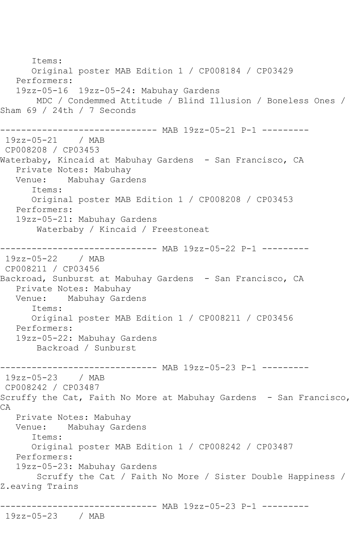Items: Original poster MAB Edition 1 / CP008184 / CP03429 Performers: 19zz-05-16 19zz-05-24: Mabuhay Gardens MDC / Condemmed Attitude / Blind Illusion / Boneless Ones / Sham 69 / 24th / 7 Seconds ------------------------------ MAB 19zz-05-21 P-1 --------- 19zz-05-21 / MAB CP008208 / CP03453 Waterbaby, Kincaid at Mabuhay Gardens - San Francisco, CA Private Notes: Mabuhay Venue: Mabuhay Gardens Items: Original poster MAB Edition 1 / CP008208 / CP03453 Performers: 19zz-05-21: Mabuhay Gardens Waterbaby / Kincaid / Freestoneat ------------------------------ MAB 19zz-05-22 P-1 --------- 19zz-05-22 / MAB CP008211 / CP03456 Backroad, Sunburst at Mabuhay Gardens - San Francisco, CA Private Notes: Mabuhay<br>Venue: Mabuhay Gard Mabuhay Gardens Items: Original poster MAB Edition 1 / CP008211 / CP03456 Performers: 19zz-05-22: Mabuhay Gardens Backroad / Sunburst -------------- MAB 19zz-05-23 P-1 ---------19zz-05-23 / MAB CP008242 / CP03487 Scruffy the Cat, Faith No More at Mabuhay Gardens - San Francisco, CA Private Notes: Mabuhay Venue: Mabuhay Gardens Items: Original poster MAB Edition 1 / CP008242 / CP03487 Performers: 19zz-05-23: Mabuhay Gardens Scruffy the Cat / Faith No More / Sister Double Happiness / Z.eaving Trains ------------------------------ MAB 19zz-05-23 P-1 --------- 19zz-05-23 / MAB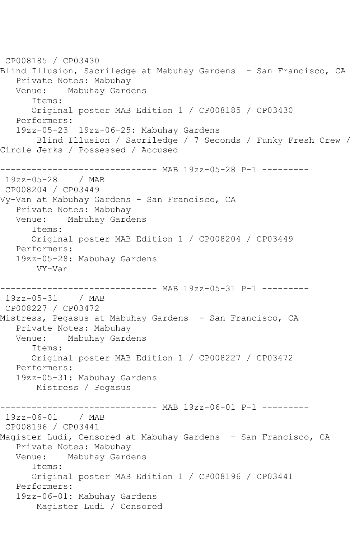CP008185 / CP03430 Blind Illusion, Sacriledge at Mabuhay Gardens - San Francisco, CA Private Notes: Mabuhay Venue: Mabuhay Gardens Items: Original poster MAB Edition 1 / CP008185 / CP03430 Performers: 19zz-05-23 19zz-06-25: Mabuhay Gardens Blind Illusion / Sacriledge / 7 Seconds / Funky Fresh Crew / Circle Jerks / Possessed / Accused ------------ MAB 19zz-05-28 P-1 ---------19zz-05-28 / MAB CP008204 / CP03449 Vy-Van at Mabuhay Gardens - San Francisco, CA Private Notes: Mabuhay Venue: Mabuhay Gardens Items: Original poster MAB Edition 1 / CP008204 / CP03449 Performers: 19zz-05-28: Mabuhay Gardens VY-Van ------------------------------ MAB 19zz-05-31 P-1 --------- 19zz-05-31 / MAB CP008227 / CP03472 Mistress, Pegasus at Mabuhay Gardens - San Francisco, CA Private Notes: Mabuhay Venue: Mabuhay Gardens Items: Original poster MAB Edition 1 / CP008227 / CP03472 Performers: 19zz-05-31: Mabuhay Gardens Mistress / Pegasus ------------------------------ MAB 19zz-06-01 P-1 --------- 19zz-06-01 / MAB CP008196 / CP03441 Magister Ludi, Censored at Mabuhay Gardens - San Francisco, CA Private Notes: Mabuhay<br>Venue: Mabuhay Gard Mabuhay Gardens Items: Original poster MAB Edition 1 / CP008196 / CP03441 Performers: 19zz-06-01: Mabuhay Gardens Magister Ludi / Censored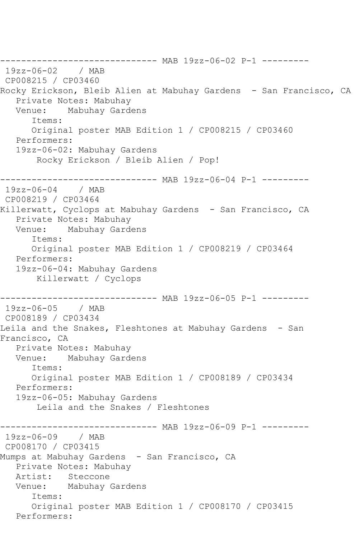------------------------------ MAB 19zz-06-02 P-1 --------- 19zz-06-02 / MAB CP008215 / CP03460 Rocky Erickson, Bleib Alien at Mabuhay Gardens - San Francisco, CA Private Notes: Mabuhay Venue: Mabuhay Gardens Items: Original poster MAB Edition 1 / CP008215 / CP03460 Performers: 19zz-06-02: Mabuhay Gardens Rocky Erickson / Bleib Alien / Pop! ------------------------------ MAB 19zz-06-04 P-1 --------- 19zz-06-04 / MAB CP008219 / CP03464 Killerwatt, Cyclops at Mabuhay Gardens - San Francisco, CA Private Notes: Mabuhay Venue: Mabuhay Gardens Items: Original poster MAB Edition 1 / CP008219 / CP03464 Performers: 19zz-06-04: Mabuhay Gardens Killerwatt / Cyclops ------------------------------ MAB 19zz-06-05 P-1 --------- 19zz-06-05 / MAB CP008189 / CP03434 Leila and the Snakes, Fleshtones at Mabuhay Gardens - San Francisco, CA Private Notes: Mabuhay Venue: Mabuhay Gardens Items: Original poster MAB Edition 1 / CP008189 / CP03434 Performers: 19zz-06-05: Mabuhay Gardens Leila and the Snakes / Fleshtones ------------------------------ MAB 19zz-06-09 P-1 --------- 19zz-06-09 / MAB CP008170 / CP03415 Mumps at Mabuhay Gardens - San Francisco, CA Private Notes: Mabuhay Artist: Steccone Venue: Mabuhay Gardens Items: Original poster MAB Edition 1 / CP008170 / CP03415 Performers: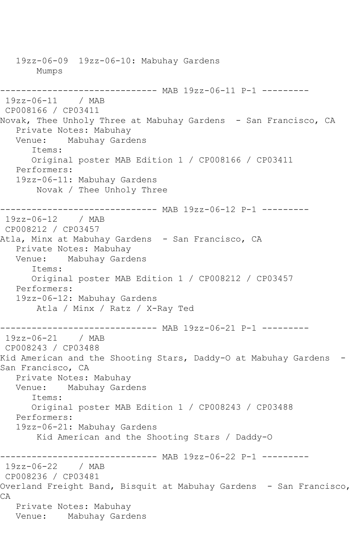19zz-06-09 19zz-06-10: Mabuhay Gardens Mumps ------------------------------ MAB 19zz-06-11 P-1 --------- 19zz-06-11 / MAB CP008166 / CP03411 Novak, Thee Unholy Three at Mabuhay Gardens - San Francisco, CA Private Notes: Mabuhay Venue: Mabuhay Gardens Items: Original poster MAB Edition 1 / CP008166 / CP03411 Performers: 19zz-06-11: Mabuhay Gardens Novak / Thee Unholy Three ------------------------------ MAB 19zz-06-12 P-1 --------- 19zz-06-12 / MAB CP008212 / CP03457 Atla, Minx at Mabuhay Gardens - San Francisco, CA Private Notes: Mabuhay Venue: Mabuhay Gardens Items: Original poster MAB Edition 1 / CP008212 / CP03457 Performers: 19zz-06-12: Mabuhay Gardens Atla / Minx / Ratz / X-Ray Ted ------------------------------ MAB 19zz-06-21 P-1 --------- 19zz-06-21 / MAB CP008243 / CP03488 Kid American and the Shooting Stars, Daddy-O at Mabuhay Gardens -San Francisco, CA Private Notes: Mabuhay Venue: Mabuhay Gardens Items: Original poster MAB Edition 1 / CP008243 / CP03488 Performers: 19zz-06-21: Mabuhay Gardens Kid American and the Shooting Stars / Daddy-O ---------------- MAB 19zz-06-22 P-1 ----------<br>/ MAB  $19zz - 06 - 22$ CP008236 / CP03481 Overland Freight Band, Bisquit at Mabuhay Gardens - San Francisco, CA Private Notes: Mabuhay Venue: Mabuhay Gardens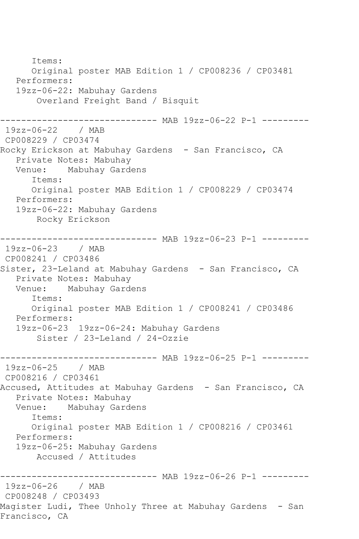Items: Original poster MAB Edition 1 / CP008236 / CP03481 Performers: 19zz-06-22: Mabuhay Gardens Overland Freight Band / Bisquit ------------------------------ MAB 19zz-06-22 P-1 --------- 19zz-06-22 / MAB CP008229 / CP03474 Rocky Erickson at Mabuhay Gardens - San Francisco, CA Private Notes: Mabuhay Venue: Mabuhay Gardens Items: Original poster MAB Edition 1 / CP008229 / CP03474 Performers: 19zz-06-22: Mabuhay Gardens Rocky Erickson ------------------------------ MAB 19zz-06-23 P-1 --------- 19zz-06-23 / MAB CP008241 / CP03486 Sister, 23-Leland at Mabuhay Gardens - San Francisco, CA Private Notes: Mabuhay<br>Venue: Mabuhay Gard Mabuhay Gardens Items: Original poster MAB Edition 1 / CP008241 / CP03486 Performers: 19zz-06-23 19zz-06-24: Mabuhay Gardens Sister / 23-Leland / 24-Ozzie ------------ MAB 19zz-06-25 P-1 ---------19zz-06-25 / MAB CP008216 / CP03461 Accused, Attitudes at Mabuhay Gardens - San Francisco, CA Private Notes: Mabuhay Venue: Mabuhay Gardens Items: Original poster MAB Edition 1 / CP008216 / CP03461 Performers: 19zz-06-25: Mabuhay Gardens Accused / Attitudes ------------------------------ MAB 19zz-06-26 P-1 --------- 19zz-06-26 / MAB CP008248 / CP03493 Magister Ludi, Thee Unholy Three at Mabuhay Gardens - San Francisco, CA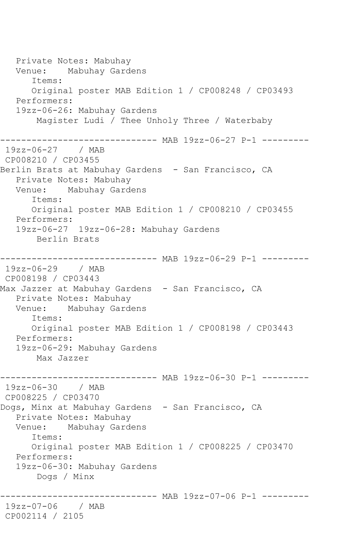Private Notes: Mabuhay Venue: Mabuhay Gardens Items: Original poster MAB Edition 1 / CP008248 / CP03493 Performers: 19zz-06-26: Mabuhay Gardens Magister Ludi / Thee Unholy Three / Waterbaby ------------------------------ MAB 19zz-06-27 P-1 --------- 19zz-06-27 / MAB CP008210 / CP03455 Berlin Brats at Mabuhay Gardens - San Francisco, CA Private Notes: Mabuhay Venue: Mabuhay Gardens Items: Original poster MAB Edition 1 / CP008210 / CP03455 Performers: 19zz-06-27 19zz-06-28: Mabuhay Gardens Berlin Brats ------------------------------ MAB 19zz-06-29 P-1 --------- 19zz-06-29 / MAB CP008198 / CP03443 Max Jazzer at Mabuhay Gardens - San Francisco, CA Private Notes: Mabuhay Venue: Mabuhay Gardens Items: Original poster MAB Edition 1 / CP008198 / CP03443 Performers: 19zz-06-29: Mabuhay Gardens Max Jazzer ------------------------------ MAB 19zz-06-30 P-1 --------- 19zz-06-30 / MAB CP008225 / CP03470 Dogs, Minx at Mabuhay Gardens - San Francisco, CA Private Notes: Mabuhay Venue: Mabuhay Gardens Items: Original poster MAB Edition 1 / CP008225 / CP03470 Performers: 19zz-06-30: Mabuhay Gardens Dogs / Minx ------------------------------ MAB 19zz-07-06 P-1 --------- 19zz-07-06 / MAB CP002114 / 2105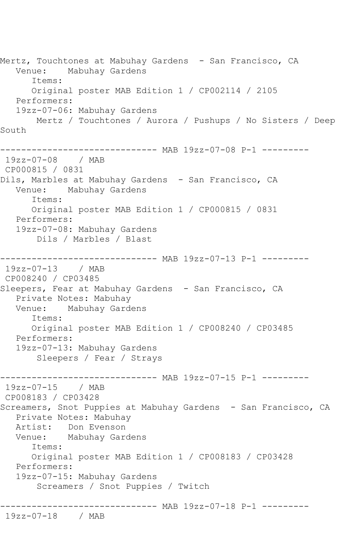Mertz, Touchtones at Mabuhay Gardens - San Francisco, CA Venue: Mabuhay Gardens Items: Original poster MAB Edition 1 / CP002114 / 2105 Performers: 19zz-07-06: Mabuhay Gardens Mertz / Touchtones / Aurora / Pushups / No Sisters / Deep South ------------------------------ MAB 19zz-07-08 P-1 --------- 19zz-07-08 / MAB CP000815 / 0831 Dils, Marbles at Mabuhay Gardens - San Francisco, CA Venue: Mabuhay Gardens Items: Original poster MAB Edition 1 / CP000815 / 0831 Performers: 19zz-07-08: Mabuhay Gardens Dils / Marbles / Blast ------------------------------ MAB 19zz-07-13 P-1 --------- 19zz-07-13 / MAB CP008240 / CP03485 Sleepers, Fear at Mabuhay Gardens - San Francisco, CA Private Notes: Mabuhay Venue: Mabuhay Gardens Items: Original poster MAB Edition 1 / CP008240 / CP03485 Performers: 19zz-07-13: Mabuhay Gardens Sleepers / Fear / Strays ------------------------------ MAB 19zz-07-15 P-1 --------- 19zz-07-15 / MAB CP008183 / CP03428 Screamers, Snot Puppies at Mabuhay Gardens - San Francisco, CA Private Notes: Mabuhay Artist: Don Evenson Venue: Mabuhay Gardens Items: Original poster MAB Edition 1 / CP008183 / CP03428 Performers: 19zz-07-15: Mabuhay Gardens Screamers / Snot Puppies / Twitch ------------------------------ MAB 19zz-07-18 P-1 --------- 19zz-07-18 / MAB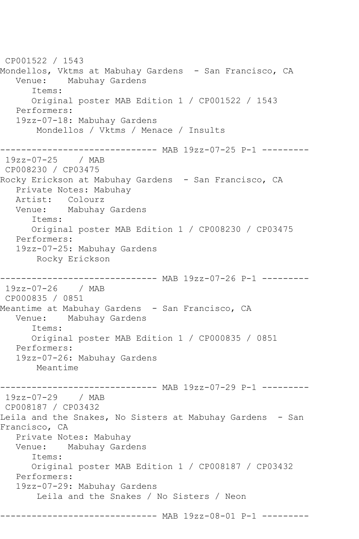CP001522 / 1543 Mondellos, Vktms at Mabuhay Gardens - San Francisco, CA Venue: Mabuhay Gardens Items: Original poster MAB Edition 1 / CP001522 / 1543 Performers: 19zz-07-18: Mabuhay Gardens Mondellos / Vktms / Menace / Insults ------------------------------ MAB 19zz-07-25 P-1 --------- 19zz-07-25 / MAB CP008230 / CP03475 Rocky Erickson at Mabuhay Gardens - San Francisco, CA Private Notes: Mabuhay Artist: Colourz Venue: Mabuhay Gardens Items: Original poster MAB Edition 1 / CP008230 / CP03475 Performers: 19zz-07-25: Mabuhay Gardens Rocky Erickson ------------------------------ MAB 19zz-07-26 P-1 --------- 19zz-07-26 / MAB CP000835 / 0851 Meantime at Mabuhay Gardens - San Francisco, CA<br>Venue: Mabuhav Gardens Mabuhay Gardens Items: Original poster MAB Edition 1 / CP000835 / 0851 Performers: 19zz-07-26: Mabuhay Gardens Meantime ------------------------------ MAB 19zz-07-29 P-1 --------- 19zz-07-29 / MAB CP008187 / CP03432 Leila and the Snakes, No Sisters at Mabuhay Gardens - San Francisco, CA Private Notes: Mabuhay Venue: Mabuhay Gardens Items: Original poster MAB Edition 1 / CP008187 / CP03432 Performers: 19zz-07-29: Mabuhay Gardens Leila and the Snakes / No Sisters / Neon ------------------------------ MAB 19zz-08-01 P-1 ---------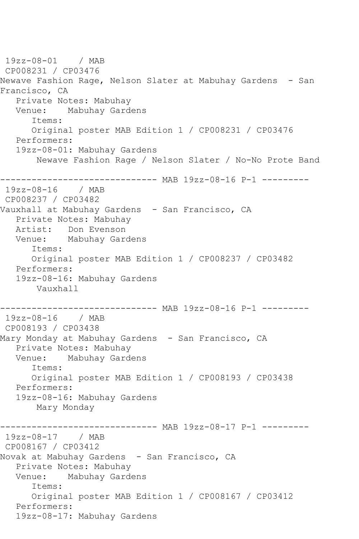19zz-08-01 / MAB CP008231 / CP03476 Newave Fashion Rage, Nelson Slater at Mabuhay Gardens - San Francisco, CA Private Notes: Mabuhay Venue: Mabuhay Gardens Items: Original poster MAB Edition 1 / CP008231 / CP03476 Performers: 19zz-08-01: Mabuhay Gardens Newave Fashion Rage / Nelson Slater / No-No Prote Band ------------------------------ MAB 19zz-08-16 P-1 --------- 19zz-08-16 / MAB CP008237 / CP03482 Vauxhall at Mabuhay Gardens - San Francisco, CA Private Notes: Mabuhay Artist: Don Evenson Venue: Mabuhay Gardens Items: Original poster MAB Edition 1 / CP008237 / CP03482 Performers: 19zz-08-16: Mabuhay Gardens Vauxhall ------------------------------ MAB 19zz-08-16 P-1 --------- 19zz-08-16 / MAB CP008193 / CP03438 Mary Monday at Mabuhay Gardens - San Francisco, CA Private Notes: Mabuhay<br>Venue: Mabuhav Gard Mabuhay Gardens Items: Original poster MAB Edition 1 / CP008193 / CP03438 Performers: 19zz-08-16: Mabuhay Gardens Mary Monday ------------------------------ MAB 19zz-08-17 P-1 --------- 19zz-08-17 / MAB CP008167 / CP03412 Novak at Mabuhay Gardens - San Francisco, CA Private Notes: Mabuhay Venue: Mabuhay Gardens Items: Original poster MAB Edition 1 / CP008167 / CP03412 Performers: 19zz-08-17: Mabuhay Gardens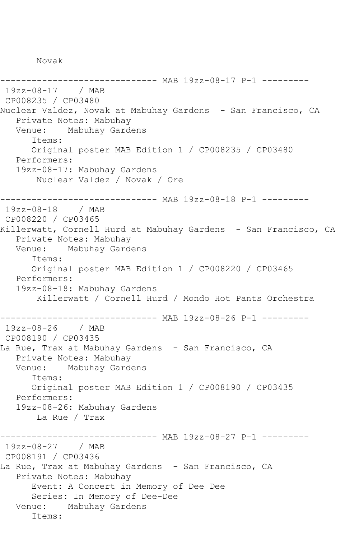Novak

------------------------------ MAB 19zz-08-17 P-1 --------- 19zz-08-17 / MAB CP008235 / CP03480 Nuclear Valdez, Novak at Mabuhay Gardens - San Francisco, CA Private Notes: Mabuhay Venue: Mabuhay Gardens Items: Original poster MAB Edition 1 / CP008235 / CP03480 Performers: 19zz-08-17: Mabuhay Gardens Nuclear Valdez / Novak / Ore ------------------------------ MAB 19zz-08-18 P-1 --------- 19zz-08-18 / MAB CP008220 / CP03465 Killerwatt, Cornell Hurd at Mabuhay Gardens - San Francisco, CA Private Notes: Mabuhay Venue: Mabuhay Gardens Items: Original poster MAB Edition 1 / CP008220 / CP03465 Performers: 19zz-08-18: Mabuhay Gardens Killerwatt / Cornell Hurd / Mondo Hot Pants Orchestra ------------------------------ MAB 19zz-08-26 P-1 --------- 19zz-08-26 / MAB CP008190 / CP03435 La Rue, Trax at Mabuhay Gardens - San Francisco, CA Private Notes: Mabuhay Venue: Mabuhay Gardens Items: Original poster MAB Edition 1 / CP008190 / CP03435 Performers: 19zz-08-26: Mabuhay Gardens La Rue / Trax ------------------------------ MAB 19zz-08-27 P-1 --------- 19zz-08-27 / MAB CP008191 / CP03436 La Rue, Trax at Mabuhay Gardens - San Francisco, CA Private Notes: Mabuhay Event: A Concert in Memory of Dee Dee Series: In Memory of Dee-Dee Venue: Mabuhay Gardens Items: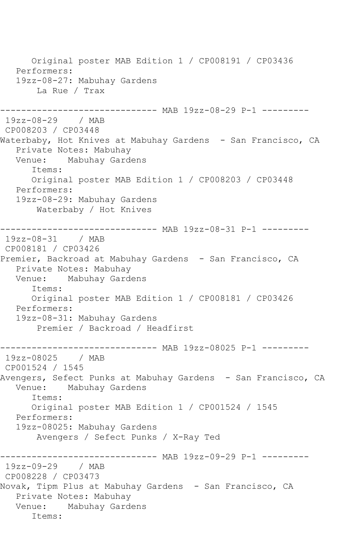Original poster MAB Edition 1 / CP008191 / CP03436 Performers: 19zz-08-27: Mabuhay Gardens La Rue / Trax ------------------------------ MAB 19zz-08-29 P-1 --------- 19zz-08-29 / MAB CP008203 / CP03448 Waterbaby, Hot Knives at Mabuhay Gardens - San Francisco, CA Private Notes: Mabuhay<br>Venue: Mabuhay Garde Mabuhay Gardens Items: Original poster MAB Edition 1 / CP008203 / CP03448 Performers: 19zz-08-29: Mabuhay Gardens Waterbaby / Hot Knives ------------------------------ MAB 19zz-08-31 P-1 --------- 19zz-08-31 / MAB CP008181 / CP03426 Premier, Backroad at Mabuhay Gardens - San Francisco, CA Private Notes: Mabuhay Venue: Mabuhay Gardens Items: Original poster MAB Edition 1 / CP008181 / CP03426 Performers: 19zz-08-31: Mabuhay Gardens Premier / Backroad / Headfirst ------------------------------ MAB 19zz-08025 P-1 --------- 19zz-08025 / MAB CP001524 / 1545 Avengers, Sefect Punks at Mabuhay Gardens - San Francisco, CA<br>Venue: Mabuhay Gardens Mabuhay Gardens Items: Original poster MAB Edition 1 / CP001524 / 1545 Performers: 19zz-08025: Mabuhay Gardens Avengers / Sefect Punks / X-Ray Ted ------------------------------ MAB 19zz-09-29 P-1 --------- 19zz-09-29 / MAB CP008228 / CP03473 Novak, Tipm Plus at Mabuhay Gardens - San Francisco, CA Private Notes: Mabuhay Venue: Mabuhay Gardens Items: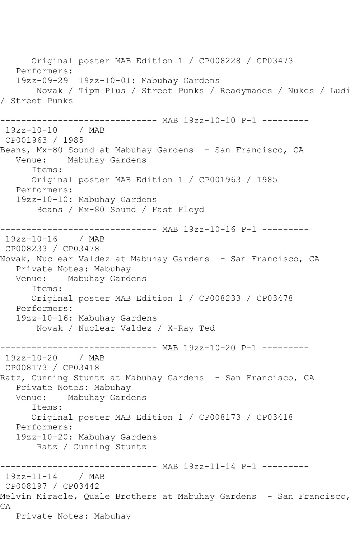Original poster MAB Edition 1 / CP008228 / CP03473 Performers: 19zz-09-29 19zz-10-01: Mabuhay Gardens Novak / Tipm Plus / Street Punks / Readymades / Nukes / Ludi / Street Punks ------------------------------ MAB 19zz-10-10 P-1 --------- 19zz-10-10 / MAB CP001963 / 1985 Beans, Mx-80 Sound at Mabuhay Gardens – San Francisco, CA<br>Venue: Mabuhay Gardens Mabuhay Gardens Items: Original poster MAB Edition 1 / CP001963 / 1985 Performers: 19zz-10-10: Mabuhay Gardens Beans / Mx-80 Sound / Fast Floyd ------------------------------ MAB 19zz-10-16 P-1 --------- 19zz-10-16 / MAB CP008233 / CP03478 Novak, Nuclear Valdez at Mabuhay Gardens - San Francisco, CA Private Notes: Mabuhay Venue: Mabuhay Gardens Items: Original poster MAB Edition 1 / CP008233 / CP03478 Performers: 19zz-10-16: Mabuhay Gardens Novak / Nuclear Valdez / X-Ray Ted ------------------------------ MAB 19zz-10-20 P-1 ----------<br>19zz-10-20 / MAB  $19zz-10-20$ CP008173 / CP03418 Ratz, Cunning Stuntz at Mabuhay Gardens - San Francisco, CA Private Notes: Mabuhay Venue: Mabuhay Gardens Items: Original poster MAB Edition 1 / CP008173 / CP03418 Performers: 19zz-10-20: Mabuhay Gardens Ratz / Cunning Stuntz ------------------------------ MAB 19zz-11-14 P-1 --------- 19zz-11-14 / MAB CP008197 / CP03442 Melvin Miracle, Quale Brothers at Mabuhay Gardens - San Francisco, CA Private Notes: Mabuhay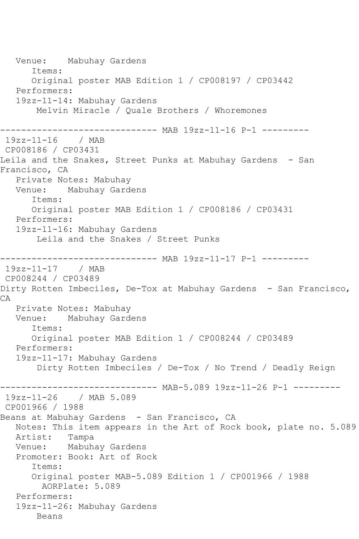Venue: Mabuhay Gardens Items: Original poster MAB Edition 1 / CP008197 / CP03442 Performers: 19zz-11-14: Mabuhay Gardens Melvin Miracle / Quale Brothers / Whoremones ------------------------------ MAB 19zz-11-16 P-1 --------- 19zz-11-16 / MAB CP008186 / CP03431 Leila and the Snakes, Street Punks at Mabuhay Gardens - San Francisco, CA Private Notes: Mabuhay Venue: Mabuhay Gardens Items: Original poster MAB Edition 1 / CP008186 / CP03431 Performers: 19zz-11-16: Mabuhay Gardens Leila and the Snakes / Street Punks ------------------------------ MAB 19zz-11-17 P-1 --------- 19zz-11-17 / MAB CP008244 / CP03489 Dirty Rotten Imbeciles, De-Tox at Mabuhay Gardens - San Francisco, CA Private Notes: Mabuhay Venue: Mabuhay Gardens Items: Original poster MAB Edition 1 / CP008244 / CP03489 Performers: 19zz-11-17: Mabuhay Gardens Dirty Rotten Imbeciles / De-Tox / No Trend / Deadly Reign ------------------------------ MAB-5.089 19zz-11-26 P-1 --------- 19zz-11-26 / MAB 5.089 CP001966 / 1988 Beans at Mabuhay Gardens - San Francisco, CA Notes: This item appears in the Art of Rock book, plate no. 5.089 Artist: Tampa Venue: Mabuhay Gardens Promoter: Book: Art of Rock Items: Original poster MAB-5.089 Edition 1 / CP001966 / 1988 AORPlate: 5.089 Performers: 19zz-11-26: Mabuhay Gardens Beans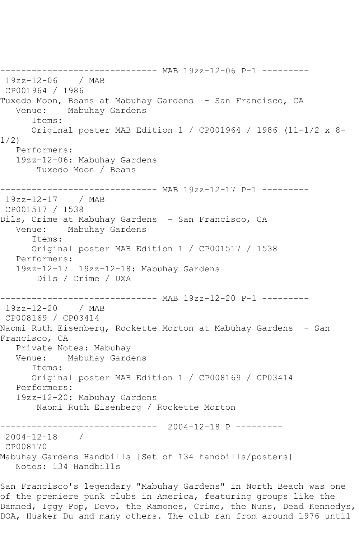------------------------------ MAB 19zz-12-06 P-1 --------- 19zz-12-06 / MAB CP001964 / 1986 Tuxedo Moon, Beans at Mabuhay Gardens - San Francisco, CA Venue: Mabuhay Gardens Items: Original poster MAB Edition 1 / CP001964 / 1986 (11-1/2 x 8- 1/2) Performers: 19zz-12-06: Mabuhay Gardens Tuxedo Moon / Beans ------------------------------ MAB 19zz-12-17 P-1 --------- 19zz-12-17 / MAB CP001517 / 1538 Dils, Crime at Mabuhay Gardens - San Francisco, CA Venue: Mabuhay Gardens Items: Original poster MAB Edition 1 / CP001517 / 1538 Performers: 19zz-12-17 19zz-12-18: Mabuhay Gardens Dils / Crime / UXA ------------------------------ MAB 19zz-12-20 P-1 --------- 19zz-12-20 / MAB CP008169 / CP03414 Naomi Ruth Eisenberg, Rockette Morton at Mabuhay Gardens - San Francisco, CA Private Notes: Mabuhay Venue: Mabuhay Gardens Items: Original poster MAB Edition 1 / CP008169 / CP03414 Performers: 19zz-12-20: Mabuhay Gardens Naomi Ruth Eisenberg / Rockette Morton ------------------------------ 2004-12-18 P --------- 2004-12-18 / CP008170 Mabuhay Gardens Handbills [Set of 134 handbills/posters] Notes: 134 Handbills

San Francisco's legendary "Mabuhay Gardens" in North Beach was one of the premiere punk clubs in America, featuring groups like the Damned, Iggy Pop, Devo, the Ramones, Crime, the Nuns, Dead Kennedys, DOA, Husker Du and many others. The club ran from around 1976 until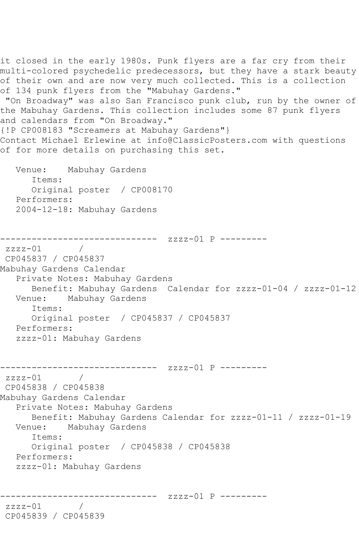it closed in the early 1980s. Punk flyers are a far cry from their multi-colored psychedelic predecessors, but they have a stark beauty of their own and are now very much collected. This is a collection of 134 punk flyers from the "Mabuhay Gardens." "On Broadway" was also San Francisco punk club, run by the owner of the Mabuhay Gardens. This collection includes some 87 punk flyers and calendars from "On Broadway." {!P CP008183 "Screamers at Mabuhay Gardens"} Contact Michael Erlewine at info@ClassicPosters.com with questions of for more details on purchasing this set. Venue: Mabuhay Gardens Items: Original poster / CP008170 Performers: 2004-12-18: Mabuhay Gardens ------------------------------ zzzz-01 P --------  $zzzz-01$ CP045837 / CP045837 Mabuhay Gardens Calendar Private Notes: Mabuhay Gardens Benefit: Mabuhay Gardens Calendar for zzzz-01-04 / zzzz-01-12 Venue: Mabuhay Gardens Items: Original poster / CP045837 / CP045837 Performers: zzzz-01: Mabuhay Gardens ------------------------------ zzzz-01 P ---------  $\overline{1}$ CP045838 / CP045838 Mabuhay Gardens Calendar Private Notes: Mabuhay Gardens Benefit: Mabuhay Gardens Calendar for zzzz-01-11 / zzzz-01-19 Venue: Mabuhay Gardens Items: Original poster / CP045838 / CP045838 Performers: zzzz-01: Mabuhay Gardens ------------------------------ zzzz-01 P -------- zzzz-01 / CP045839 / CP045839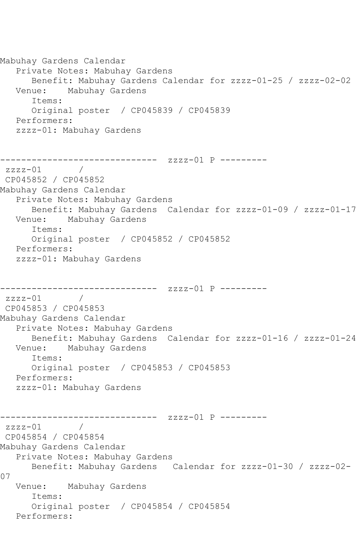```
Mabuhay Gardens Calendar
   Private Notes: Mabuhay Gardens
      Benefit: Mabuhay Gardens Calendar for zzzz-01-25 / zzzz-02-02
   Venue: Mabuhay Gardens
      Items:
      Original poster / CP045839 / CP045839
   Performers:
   zzzz-01: Mabuhay Gardens
------------------------------ zzzz-01 P ---------
zzzz-01 / 
CP045852 / CP045852
Mabuhay Gardens Calendar
   Private Notes: Mabuhay Gardens
      Benefit: Mabuhay Gardens Calendar for zzzz-01-09 / zzzz-01-17
   Venue: Mabuhay Gardens
      Items:
      Original poster / CP045852 / CP045852
   Performers:
   zzzz-01: Mabuhay Gardens
------------------------------ zzzz-01 P ---------
zzzz-01 / 
CP045853 / CP045853
Mabuhay Gardens Calendar
   Private Notes: Mabuhay Gardens
      Benefit: Mabuhay Gardens Calendar for zzzz-01-16 / zzzz-01-24
   Venue: Mabuhay Gardens
      Items:
      Original poster / CP045853 / CP045853
   Performers:
   zzzz-01: Mabuhay Gardens
------------------------------ zzzz-01 P ---------
zzzz-01 / 
CP045854 / CP045854
Mabuhay Gardens Calendar
   Private Notes: Mabuhay Gardens
      Benefit: Mabuhay Gardens Calendar for zzzz-01-30 / zzzz-02-
07
   Venue: Mabuhay Gardens
      Items:
      Original poster / CP045854 / CP045854
   Performers:
```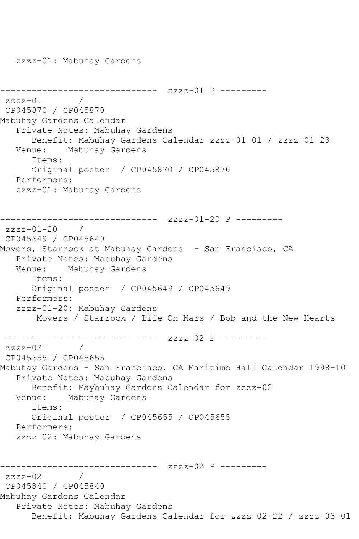zzzz-01: Mabuhay Gardens

```
------------------------------ zzzz-01 P ---------
zzzz-01CP045870 / CP045870
Mabuhay Gardens Calendar
   Private Notes: Mabuhay Gardens
      Benefit: Mabuhay Gardens Calendar zzzz-01-01 / zzzz-01-23
   Venue: Mabuhay Gardens
      Items:
      Original poster / CP045870 / CP045870
   Performers:
   zzzz-01: Mabuhay Gardens
------------------------------ zzzz-01-20 P ---------
zzzz-01-20 / 
CP045649 / CP045649
Movers, Starrock at Mabuhay Gardens - San Francisco, CA
   Private Notes: Mabuhay Gardens
   Venue: Mabuhay Gardens
      Items:
      Original poster / CP045649 / CP045649
   Performers:
   zzzz-01-20: Mabuhay Gardens
       Movers / Starrock / Life On Mars / Bob and the New Hearts
------------------------------ zzzz-02 P ---------
zzzz-02CP045655 / CP045655
Mabuhay Gardens - San Francisco, CA Maritime Hall Calendar 1998-10
   Private Notes: Mabuhay Gardens
      Benefit: Maybuhay Gardens Calendar for zzzz-02
   Venue: Mabuhay Gardens
      Items:
      Original poster / CP045655 / CP045655
   Performers:
   zzzz-02: Mabuhay Gardens
       ------------------------------ zzzz-02 P ---------
zzzz-02 / 
CP045840 / CP045840
Mabuhay Gardens Calendar
   Private Notes: Mabuhay Gardens
      Benefit: Mabuhay Gardens Calendar for zzzz-02-22 / zzzz-03-01
```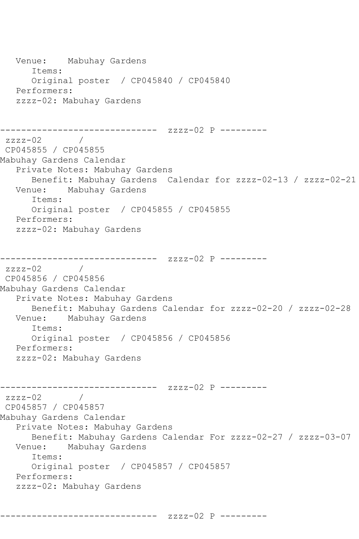```
 Venue: Mabuhay Gardens
       Items:
       Original poster / CP045840 / CP045840
    Performers:
    zzzz-02: Mabuhay Gardens
------------------------------ zzzz-02 P ---------
zzzz-02 / 
CP045855 / CP045855
Mabuhay Gardens Calendar
    Private Notes: Mabuhay Gardens
  Benefit: Mabuhay Gardens Calendar for zzzz-02-13 / zzzz-02-21<br>Venue: Mabuhay Gardens
           Mabuhay Gardens
       Items:
       Original poster / CP045855 / CP045855
   Performers:
    zzzz-02: Mabuhay Gardens
------------------------------ zzzz-02 P ---------
zzzz-02 / 
CP045856 / CP045856
Mabuhay Gardens Calendar
   Private Notes: Mabuhay Gardens
  Benefit: Mabuhay Gardens Calendar for zzzz-02-20 / zzzz-02-28<br>Venue: Mabuhay Gardens
            Mabuhay Gardens
       Items:
       Original poster / CP045856 / CP045856
   Performers:
    zzzz-02: Mabuhay Gardens
------------------------------ zzzz-02 P ---------
zzzz-02 / 
CP045857 / CP045857
Mabuhay Gardens Calendar
    Private Notes: Mabuhay Gardens
  Benefit: Mabuhay Gardens Calendar For zzzz-02-27 / zzzz-03-07<br>Venue: Mabuhay Gardens
           Mabuhay Gardens
       Items:
       Original poster / CP045857 / CP045857
   Performers:
    zzzz-02: Mabuhay Gardens
```
------------------------------ zzzz-02 P ---------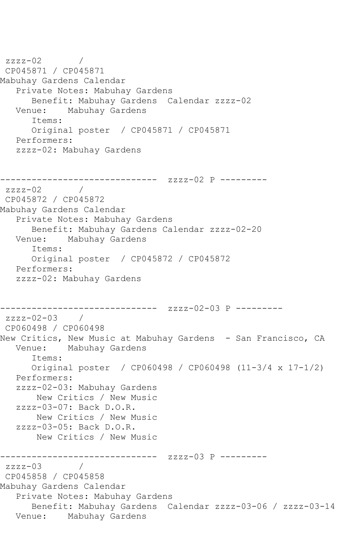```
zzzz-02 / 
CP045871 / CP045871
Mabuhay Gardens Calendar
   Private Notes: Mabuhay Gardens
       Benefit: Mabuhay Gardens Calendar zzzz-02
   Venue: Mabuhay Gardens
       Items:
       Original poster / CP045871 / CP045871
   Performers:
   zzzz-02: Mabuhay Gardens
        ------------------------------ zzzz-02 P ---------
zzzz-02 / 
CP045872 / CP045872
Mabuhay Gardens Calendar
   Private Notes: Mabuhay Gardens
      Benefit: Mabuhay Gardens Calendar zzzz-02-20
   Venue: Mabuhay Gardens
       Items:
      Original poster / CP045872 / CP045872
   Performers:
   zzzz-02: Mabuhay Gardens
       ------------------------------ zzzz-02-03 P ---------
zzzz-02-03 / 
CP060498 / CP060498
New Critics, New Music at Mabuhay Gardens - San Francisco, CA
   Venue: Mabuhay Gardens
       Items:
       Original poster / CP060498 / CP060498 (11-3/4 x 17-1/2)
   Performers:
   zzzz-02-03: Mabuhay Gardens
       New Critics / New Music
   zzzz-03-07: Back D.O.R.
        New Critics / New Music
   zzzz-03-05: Back D.O.R.
        New Critics / New Music
              ------------------------------ zzzz-03 P ---------
zzzz-03CP045858 / CP045858
Mabuhay Gardens Calendar
   Private Notes: Mabuhay Gardens
       Benefit: Mabuhay Gardens Calendar zzzz-03-06 / zzzz-03-14
   Venue: Mabuhay Gardens
```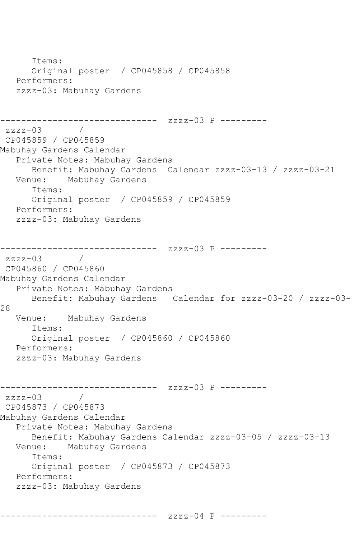Items: Original poster / CP045858 / CP045858 Performers: zzzz-03: Mabuhay Gardens ------------------------------ zzzz-03 P --------  $zzzz-03$  / CP045859 / CP045859 Mabuhay Gardens Calendar Private Notes: Mabuhay Gardens Benefit: Mabuhay Gardens Calendar zzzz-03-13 / zzzz-03-21 Venue: Mabuhay Gardens Items: Original poster / CP045859 / CP045859 Performers: zzzz-03: Mabuhay Gardens ------------------------------ zzzz-03 P --------  $zzzz-03$ CP045860 / CP045860 Mabuhay Gardens Calendar Private Notes: Mabuhay Gardens Benefit: Mabuhay Gardens Calendar for zzzz-03-20 / zzzz-03- 28 Venue: Mabuhay Gardens Items: Original poster / CP045860 / CP045860 Performers: zzzz-03: Mabuhay Gardens ------------------------------ zzzz-03 P -------- zzzz-03 / CP045873 / CP045873 Mabuhay Gardens Calendar Private Notes: Mabuhay Gardens Benefit: Mabuhay Gardens Calendar zzzz-03-05 / zzzz-03-13<br>Venue: Mabuhay Gardens Mabuhay Gardens Items: Original poster / CP045873 / CP045873 Performers: zzzz-03: Mabuhay Gardens

------------------------------ zzzz-04 P ---------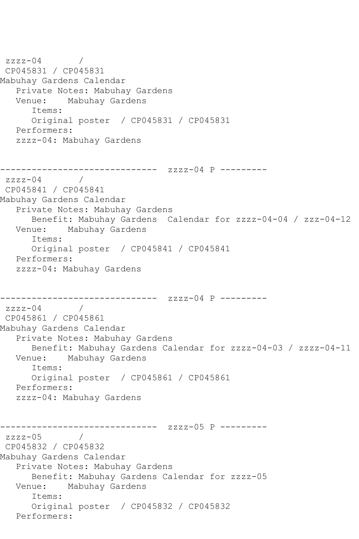```
zzzz-04 / 
CP045831 / CP045831
Mabuhay Gardens Calendar
   Private Notes: Mabuhay Gardens
           Mabuhay Gardens
       Items:
       Original poster / CP045831 / CP045831
   Performers:
    zzzz-04: Mabuhay Gardens
        ------------------------------ zzzz-04 P ---------
zzzz-04CP045841 / CP045841
Mabuhay Gardens Calendar
    Private Notes: Mabuhay Gardens
       Benefit: Mabuhay Gardens Calendar for zzzz-04-04 / zzz-04-12
   Venue: Mabuhay Gardens
       Items:
       Original poster / CP045841 / CP045841
   Performers:
    zzzz-04: Mabuhay Gardens
           ------------------------------ zzzz-04 P ---------
zzzz-04CP045861 / CP045861
Mabuhay Gardens Calendar
    Private Notes: Mabuhay Gardens
  Benefit: Mabuhay Gardens Calendar for zzzz-04-03 / zzzz-04-11<br>Venue: Mabuhay Gardens
            Mabuhay Gardens
       Items:
       Original poster / CP045861 / CP045861
    Performers:
    zzzz-04: Mabuhay Gardens
           ------------------------------ zzzz-05 P ---------
zzzz-05CP045832 / CP045832
Mabuhay Gardens Calendar
   Private Notes: Mabuhay Gardens
  Benefit: Mabuhay Gardens Calendar for zzzz-05<br>Venue: Mabuhay Gardens
            Mabuhay Gardens
       Items:
       Original poster / CP045832 / CP045832
   Performers:
```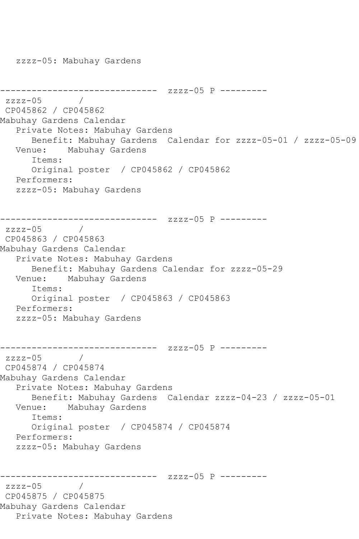zzzz-05: Mabuhay Gardens

```
------------------------------ zzzz-05 P ---------
zzzz-05CP045862 / CP045862
Mabuhay Gardens Calendar
   Private Notes: Mabuhay Gardens
      Benefit: Mabuhay Gardens Calendar for zzzz-05-01 / zzzz-05-09
   Venue: Mabuhay Gardens
      Items:
      Original poster / CP045862 / CP045862
   Performers:
   zzzz-05: Mabuhay Gardens
------------------------------ zzzz-05 P ---------
zzzz-05 / 
CP045863 / CP045863
Mabuhay Gardens Calendar
   Private Notes: Mabuhay Gardens
      Benefit: Mabuhay Gardens Calendar for zzzz-05-29
   Venue: Mabuhay Gardens
      Items:
      Original poster / CP045863 / CP045863
   Performers:
   zzzz-05: Mabuhay Gardens
------------------------------ zzzz-05 P ---------
zzzz-05 / 
CP045874 / CP045874
Mabuhay Gardens Calendar
   Private Notes: Mabuhay Gardens
      Benefit: Mabuhay Gardens Calendar zzzz-04-23 / zzzz-05-01
   Venue: Mabuhay Gardens
      Items:
      Original poster / CP045874 / CP045874
   Performers:
   zzzz-05: Mabuhay Gardens
------------------------------ zzzz-05 P ---------
zzzz-05CP045875 / CP045875
Mabuhay Gardens Calendar
   Private Notes: Mabuhay Gardens
```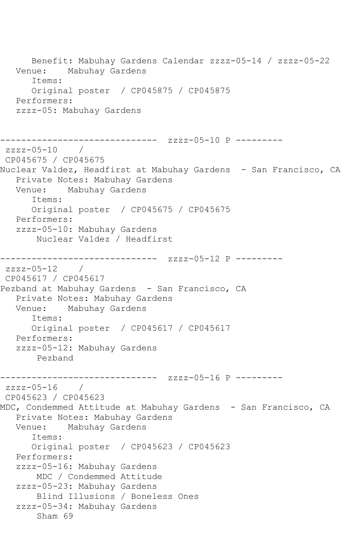```
Benefit: Mabuhay Gardens Calendar zzzz-05-14 / zzzz-05-22<br>Venue: Mabuhay Gardens
            Mabuhay Gardens
       Items:
      Original poster / CP045875 / CP045875
   Performers:
   zzzz-05: Mabuhay Gardens
                   ------------ zzzz-05-10 P ---------
zzzz-05-10 / 
CP045675 / CP045675
Nuclear Valdez, Headfirst at Mabuhay Gardens - San Francisco, CA
   Private Notes: Mabuhay Gardens
   Venue: Mabuhay Gardens
       Items:
       Original poster / CP045675 / CP045675
   Performers:
   zzzz-05-10: Mabuhay Gardens
        Nuclear Valdez / Headfirst
------------------------------ zzzz-05-12 P ---------
zzzz-05-12 / 
CP045617 / CP045617
Pezband at Mabuhay Gardens - San Francisco, CA
   Private Notes: Mabuhay Gardens
   Venue: Mabuhay Gardens
       Items:
      Original poster / CP045617 / CP045617
   Performers:
   zzzz-05-12: Mabuhay Gardens
       Pezband
------------------------------ zzzz-05-16 P ---------
zzzz-05-16 /
CP045623 / CP045623
MDC, Condemmed Attitude at Mabuhay Gardens - San Francisco, CA
   Private Notes: Mabuhay Gardens
   Venue: Mabuhay Gardens
      Items:
       Original poster / CP045623 / CP045623
   Performers:
   zzzz-05-16: Mabuhay Gardens
        MDC / Condemmed Attitude
   zzzz-05-23: Mabuhay Gardens
        Blind Illusions / Boneless Ones
   zzzz-05-34: Mabuhay Gardens
        Sham 69
```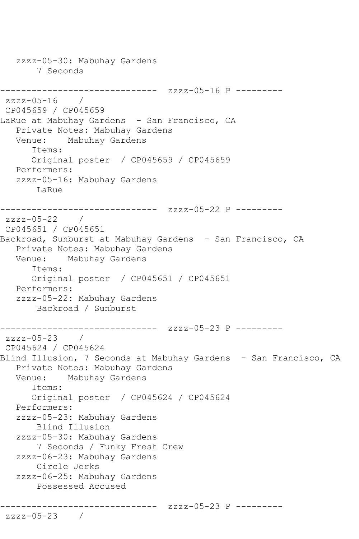zzzz-05-30: Mabuhay Gardens 7 Seconds ------------------------------ zzzz-05-16 P --------  $zzzz-05-16$  / CP045659 / CP045659 LaRue at Mabuhay Gardens - San Francisco, CA Private Notes: Mabuhay Gardens Venue: Mabuhay Gardens Items: Original poster / CP045659 / CP045659 Performers: zzzz-05-16: Mabuhay Gardens LaRue ------------------------------ zzzz-05-22 P -------- zzzz-05-22 / CP045651 / CP045651 Backroad, Sunburst at Mabuhay Gardens - San Francisco, CA Private Notes: Mabuhay Gardens Venue: Mabuhay Gardens Items: Original poster / CP045651 / CP045651 Performers: zzzz-05-22: Mabuhay Gardens Backroad / Sunburst ------------------------------ zzzz-05-23 P -------- zzzz-05-23 / CP045624 / CP045624 Blind Illusion, 7 Seconds at Mabuhay Gardens - San Francisco, CA Private Notes: Mabuhay Gardens Venue: Mabuhay Gardens Items: Original poster / CP045624 / CP045624 Performers: zzzz-05-23: Mabuhay Gardens Blind Illusion zzzz-05-30: Mabuhay Gardens 7 Seconds / Funky Fresh Crew zzzz-06-23: Mabuhay Gardens Circle Jerks zzzz-06-25: Mabuhay Gardens Possessed Accused ------------------------------ zzzz-05-23 P -------- zzzz-05-23 /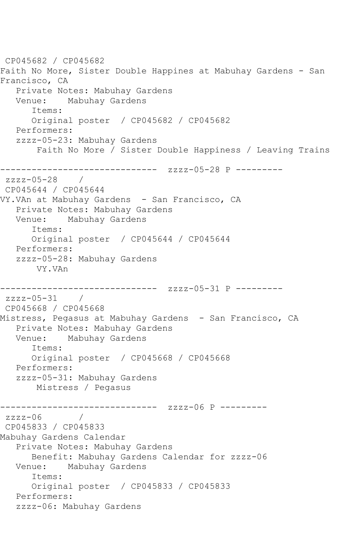CP045682 / CP045682 Faith No More, Sister Double Happines at Mabuhay Gardens - San Francisco, CA Private Notes: Mabuhay Gardens Mabuhay Gardens Items: Original poster / CP045682 / CP045682 Performers: zzzz-05-23: Mabuhay Gardens Faith No More / Sister Double Happiness / Leaving Trains ------------------------------ zzzz-05-28 P -------- zzzz-05-28 / CP045644 / CP045644 VY.VAn at Mabuhay Gardens - San Francisco, CA Private Notes: Mabuhay Gardens Venue: Mabuhay Gardens Items: Original poster / CP045644 / CP045644 Performers: zzzz-05-28: Mabuhay Gardens VY.VAn ------------------------------ zzzz-05-31 P -------- zzzz-05-31 / CP045668 / CP045668 Mistress, Pegasus at Mabuhay Gardens - San Francisco, CA Private Notes: Mabuhay Gardens Venue: Mabuhay Gardens Items: Original poster / CP045668 / CP045668 Performers: zzzz-05-31: Mabuhay Gardens Mistress / Pegasus ------------------------------ zzzz-06 P --------  $zzzz-06$ CP045833 / CP045833 Mabuhay Gardens Calendar Private Notes: Mabuhay Gardens Benefit: Mabuhay Gardens Calendar for zzzz-06 Venue: Mabuhay Gardens Items: Original poster / CP045833 / CP045833 Performers: zzzz-06: Mabuhay Gardens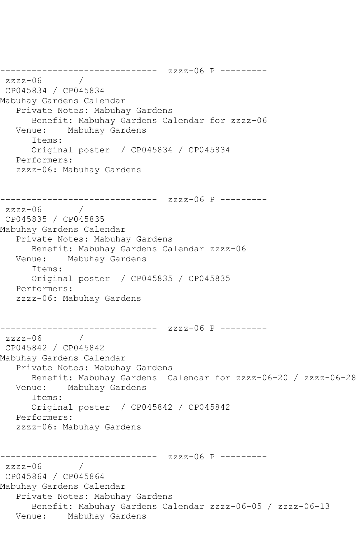```
------------------------------ zzzz-06 P ---------
zzzz-06 / 
CP045834 / CP045834
Mabuhay Gardens Calendar
    Private Notes: Mabuhay Gardens
       Benefit: Mabuhay Gardens Calendar for zzzz-06
   Venue: Mabuhay Gardens
       Items:
       Original poster / CP045834 / CP045834
    Performers:
    zzzz-06: Mabuhay Gardens
    ------------------------------ zzzz-06 P ---------
zzzz-06CP045835 / CP045835
Mabuhay Gardens Calendar
    Private Notes: Mabuhay Gardens
  Benefit: Mabuhay Gardens Calendar zzzz-06<br>Venue: Mabuhay Gardens
            Mabuhay Gardens
       Items:
       Original poster / CP045835 / CP045835
    Performers:
    zzzz-06: Mabuhay Gardens
      ------------------------------ zzzz-06 P ---------
zzzz-06CP045842 / CP045842
Mabuhay Gardens Calendar
    Private Notes: Mabuhay Gardens
   Benefit: Mabuhay Gardens Calendar for zzzz-06-20 / zzzz-06-28
            Mabuhay Gardens
       Items:
       Original poster / CP045842 / CP045842
   Performers:
    zzzz-06: Mabuhay Gardens
         ------------------------------ zzzz-06 P ---------
zzzz-06CP045864 / CP045864
Mabuhay Gardens Calendar
    Private Notes: Mabuhay Gardens
       Benefit: Mabuhay Gardens Calendar zzzz-06-05 / zzzz-06-13
   Venue: Mabuhay Gardens
```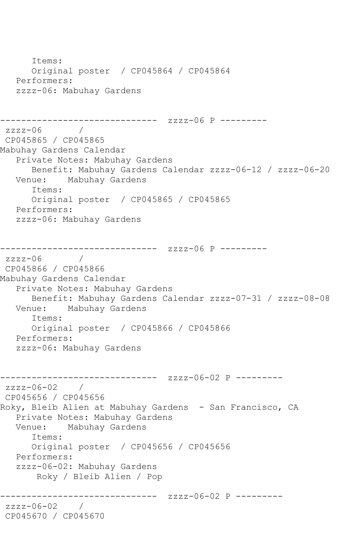Items: Original poster / CP045864 / CP045864 Performers: zzzz-06: Mabuhay Gardens ------------------------------ zzzz-06 P --------  $zzzz-06$ CP045865 / CP045865 Mabuhay Gardens Calendar Private Notes: Mabuhay Gardens Benefit: Mabuhay Gardens Calendar zzzz-06-12 / zzzz-06-20 Venue: Mabuhay Gardens Items: Original poster / CP045865 / CP045865 Performers: zzzz-06: Mabuhay Gardens ------------------------------ zzzz-06 P --------  $zzzz-06$ CP045866 / CP045866 Mabuhay Gardens Calendar Private Notes: Mabuhay Gardens Benefit: Mabuhay Gardens Calendar zzzz-07-31 / zzzz-08-08 Venue: Mabuhay Gardens Items: Original poster / CP045866 / CP045866 Performers: zzzz-06: Mabuhay Gardens ------------------------------ zzzz-06-02 P -------- zzzz-06-02 / CP045656 / CP045656 Roky, Bleib Alien at Mabuhay Gardens - San Francisco, CA Private Notes: Mabuhay Gardens Venue: Mabuhay Gardens Items: Original poster / CP045656 / CP045656 Performers: zzzz-06-02: Mabuhay Gardens Roky / Bleib Alien / Pop ----------- zzzz-06-02 P --------zzzz-06-02 / CP045670 / CP045670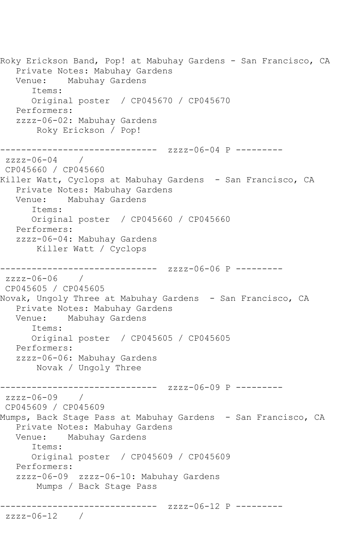Roky Erickson Band, Pop! at Mabuhay Gardens - San Francisco, CA Private Notes: Mabuhay Gardens Venue: Mabuhay Gardens Items: Original poster / CP045670 / CP045670 Performers: zzzz-06-02: Mabuhay Gardens Roky Erickson / Pop! ------------------------------ zzzz-06-04 P -------- zzzz-06-04 / CP045660 / CP045660 Killer Watt, Cyclops at Mabuhay Gardens - San Francisco, CA Private Notes: Mabuhay Gardens Venue: Mabuhay Gardens Items: Original poster / CP045660 / CP045660 Performers: zzzz-06-04: Mabuhay Gardens Killer Watt / Cyclops ------------------------------ zzzz-06-06 P --------  $zzzz-06-06$  / CP045605 / CP045605 Novak, Ungoly Three at Mabuhay Gardens - San Francisco, CA Private Notes: Mabuhay Gardens Venue: Mabuhay Gardens Items: Original poster / CP045605 / CP045605 Performers: zzzz-06-06: Mabuhay Gardens Novak / Ungoly Three ------------------------------ zzzz-06-09 P -------- zzzz-06-09 / CP045609 / CP045609 Mumps, Back Stage Pass at Mabuhay Gardens - San Francisco, CA Private Notes: Mabuhay Gardens Venue: Mabuhay Gardens Items: Original poster / CP045609 / CP045609 Performers: zzzz-06-09 zzzz-06-10: Mabuhay Gardens Mumps / Back Stage Pass ------------------------------ zzzz-06-12 P -------- zzzz-06-12 /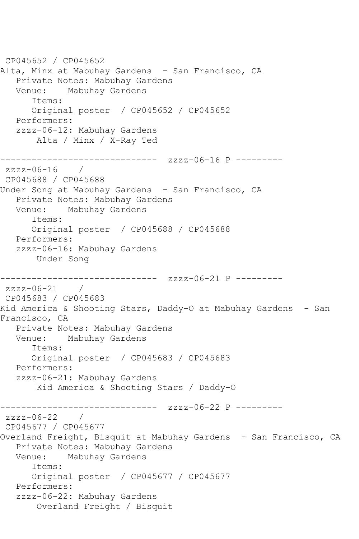CP045652 / CP045652 Alta, Minx at Mabuhay Gardens - San Francisco, CA Private Notes: Mabuhay Gardens Venue: Mabuhay Gardens Items: Original poster / CP045652 / CP045652 Performers: zzzz-06-12: Mabuhay Gardens Alta / Minx / X-Ray Ted ------------------------------ zzzz-06-16 P -------- zzzz-06-16 / CP045688 / CP045688 Under Song at Mabuhay Gardens - San Francisco, CA Private Notes: Mabuhay Gardens Venue: Mabuhay Gardens Items: Original poster / CP045688 / CP045688 Performers: zzzz-06-16: Mabuhay Gardens Under Song --------------- zzzz-06-21 P --------zzzz-06-21 / CP045683 / CP045683 Kid America & Shooting Stars, Daddy-O at Mabuhay Gardens - San Francisco, CA Private Notes: Mabuhay Gardens Venue: Mabuhay Gardens Items: Original poster / CP045683 / CP045683 Performers: zzzz-06-21: Mabuhay Gardens Kid America & Shooting Stars / Daddy-O ------------------------------ zzzz-06-22 P -------- zzzz-06-22 / CP045677 / CP045677 Overland Freight, Bisquit at Mabuhay Gardens - San Francisco, CA Private Notes: Mabuhay Gardens Mabuhay Gardens Items: Original poster / CP045677 / CP045677 Performers: zzzz-06-22: Mabuhay Gardens Overland Freight / Bisquit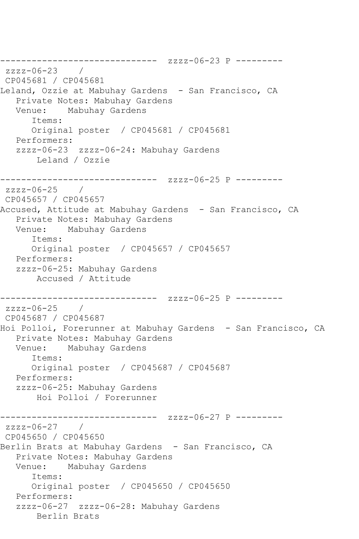------------------------------ zzzz-06-23 P -------- zzzz-06-23 / CP045681 / CP045681 Leland, Ozzie at Mabuhay Gardens - San Francisco, CA Private Notes: Mabuhay Gardens Venue: Mabuhay Gardens Items: Original poster / CP045681 / CP045681 Performers: zzzz-06-23 zzzz-06-24: Mabuhay Gardens Leland / Ozzie ------------------------------ zzzz-06-25 P -------- zzzz-06-25 / CP045657 / CP045657 Accused, Attitude at Mabuhay Gardens - San Francisco, CA Private Notes: Mabuhay Gardens Venue: Mabuhay Gardens Items: Original poster / CP045657 / CP045657 Performers: zzzz-06-25: Mabuhay Gardens Accused / Attitude ------------------------------ zzzz-06-25 P -------- zzzz-06-25 / CP045687 / CP045687 Hoi Polloi, Forerunner at Mabuhay Gardens - San Francisco, CA Private Notes: Mabuhay Gardens Venue: Mabuhay Gardens Items: Original poster / CP045687 / CP045687 Performers: zzzz-06-25: Mabuhay Gardens Hoi Polloi / Forerunner ------------------------------ zzzz-06-27 P -------- zzzz-06-27 / CP045650 / CP045650 Berlin Brats at Mabuhay Gardens - San Francisco, CA Private Notes: Mabuhay Gardens Venue: Mabuhay Gardens Items: Original poster / CP045650 / CP045650 Performers: zzzz-06-27 zzzz-06-28: Mabuhay Gardens Berlin Brats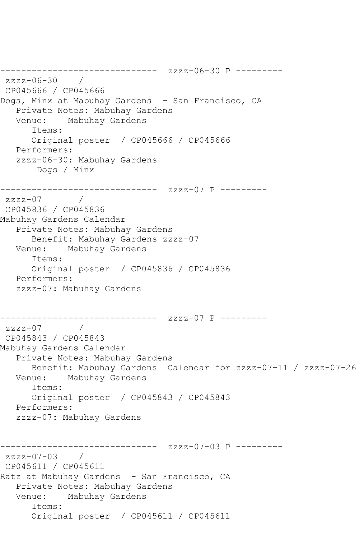```
------------------------------ zzzz-06-30 P ---------
zzzz-06-30 / 
CP045666 / CP045666
Dogs, Minx at Mabuhay Gardens - San Francisco, CA
   Private Notes: Mabuhay Gardens
   Venue: Mabuhay Gardens
      Items:
      Original poster / CP045666 / CP045666
   Performers:
   zzzz-06-30: Mabuhay Gardens
       Dogs / Minx
------------------------------ zzzz-07 P ---------
zzzz-07CP045836 / CP045836
Mabuhay Gardens Calendar
   Private Notes: Mabuhay Gardens
      Benefit: Mabuhay Gardens zzzz-07
   Venue: Mabuhay Gardens
      Items:
      Original poster / CP045836 / CP045836
   Performers:
   zzzz-07: Mabuhay Gardens
------------------------------ zzzz-07 P ---------
zzzz-07 / 
CP045843 / CP045843
Mabuhay Gardens Calendar
   Private Notes: Mabuhay Gardens
      Benefit: Mabuhay Gardens Calendar for zzzz-07-11 / zzzz-07-26
   Venue: Mabuhay Gardens
      Items:
      Original poster / CP045843 / CP045843
   Performers:
   zzzz-07: Mabuhay Gardens
------------------------------ zzzz-07-03 P ---------
zzzz-07-03 / 
CP045611 / CP045611
Ratz at Mabuhay Gardens - San Francisco, CA
   Private Notes: Mabuhay Gardens
   Venue: Mabuhay Gardens
      Items:
      Original poster / CP045611 / CP045611
```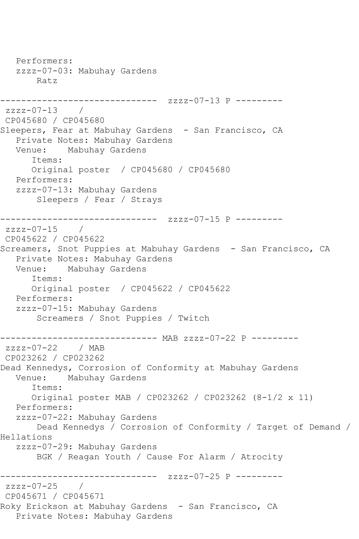Performers: zzzz-07-03: Mabuhay Gardens Ratz ------------------------------ zzzz-07-13 P -------- zzzz-07-13 / CP045680 / CP045680 Sleepers, Fear at Mabuhay Gardens - San Francisco, CA Private Notes: Mabuhay Gardens Venue: Mabuhay Gardens Items: Original poster / CP045680 / CP045680 Performers: zzzz-07-13: Mabuhay Gardens Sleepers / Fear / Strays ------------------------------ zzzz-07-15 P --------  $zzzz-07-15$  / CP045622 / CP045622 Screamers, Snot Puppies at Mabuhay Gardens - San Francisco, CA Private Notes: Mabuhay Gardens Venue: Mabuhay Gardens Items: Original poster / CP045622 / CP045622 Performers: zzzz-07-15: Mabuhay Gardens Screamers / Snot Puppies / Twitch -------------- MAB zzzz-07-22 P --------zzzz-07-22 / MAB CP023262 / CP023262 Dead Kennedys, Corrosion of Conformity at Mabuhay Gardens Venue: Mabuhay Gardens Items: Original poster MAB / CP023262 / CP023262 (8-1/2 x 11) Performers: zzzz-07-22: Mabuhay Gardens Dead Kennedys / Corrosion of Conformity / Target of Demand / Hellations zzzz-07-29: Mabuhay Gardens BGK / Reagan Youth / Cause For Alarm / Atrocity -------------- zzzz-07-25 P --------zzzz-07-25 / CP045671 / CP045671 Roky Erickson at Mabuhay Gardens - San Francisco, CA Private Notes: Mabuhay Gardens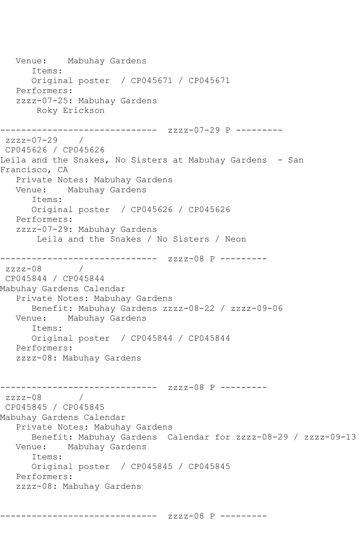Venue: Mabuhay Gardens Items: Original poster / CP045671 / CP045671 Performers: zzzz-07-25: Mabuhay Gardens Roky Erickson ------------------------------ zzzz-07-29 P -------- zzzz-07-29 / CP045626 / CP045626 Leila and the Snakes, No Sisters at Mabuhay Gardens - San Francisco, CA Private Notes: Mabuhay Gardens Venue: Mabuhay Gardens Items: Original poster / CP045626 / CP045626 Performers: zzzz-07-29: Mabuhay Gardens Leila and the Snakes / No Sisters / Neon ------------------------------ zzzz-08 P -------- zzzz-08 / CP045844 / CP045844 Mabuhay Gardens Calendar Private Notes: Mabuhay Gardens Benefit: Mabuhay Gardens zzzz-08-22 / zzzz-09-06<br>Venue: Mabuhay Gardens Mabuhay Gardens Items: Original poster / CP045844 / CP045844 Performers: zzzz-08: Mabuhay Gardens ------------------------------ zzzz-08 P -------- zzzz-08 / CP045845 / CP045845 Mabuhay Gardens Calendar Private Notes: Mabuhay Gardens Benefit: Mabuhay Gardens Calendar for zzzz-08-29 / zzzz-09-13 Venue: Mabuhay Gardens Items: Original poster / CP045845 / CP045845 Performers: zzzz-08: Mabuhay Gardens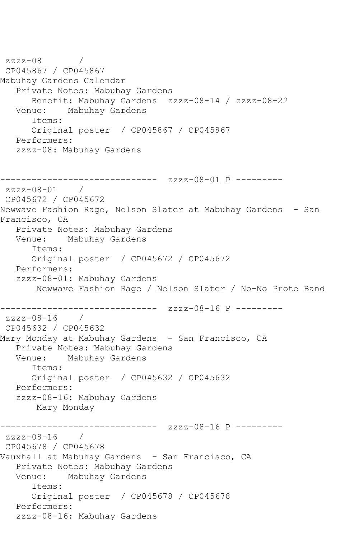```
zzzz-08 / 
CP045867 / CP045867
Mabuhay Gardens Calendar
   Private Notes: Mabuhay Gardens
      Benefit: Mabuhay Gardens zzzz-08-14 / zzzz-08-22
   Venue: Mabuhay Gardens
      Items:
      Original poster / CP045867 / CP045867
   Performers:
   zzzz-08: Mabuhay Gardens
------------------------------ zzzz-08-01 P ---------
zzzz-08-01 / 
CP045672 / CP045672
Newwave Fashion Rage, Nelson Slater at Mabuhay Gardens - San 
Francisco, CA
   Private Notes: Mabuhay Gardens
   Venue: Mabuhay Gardens
      Items:
      Original poster / CP045672 / CP045672
   Performers:
   zzzz-08-01: Mabuhay Gardens
       Newwave Fashion Rage / Nelson Slater / No-No Prote Band
------------------------------ zzzz-08-16 P ---------
zzzz-08-16 / 
CP045632 / CP045632
Mary Monday at Mabuhay Gardens - San Francisco, CA
   Private Notes: Mabuhay Gardens
   Venue: Mabuhay Gardens
      Items:
      Original poster / CP045632 / CP045632
   Performers:
   zzzz-08-16: Mabuhay Gardens
       Mary Monday
------------------------------ zzzz-08-16 P ---------
zzzz-08-16 / 
CP045678 / CP045678
Vauxhall at Mabuhay Gardens - San Francisco, CA
   Private Notes: Mabuhay Gardens
   Venue: Mabuhay Gardens
      Items:
      Original poster / CP045678 / CP045678
   Performers:
   zzzz-08-16: Mabuhay Gardens
```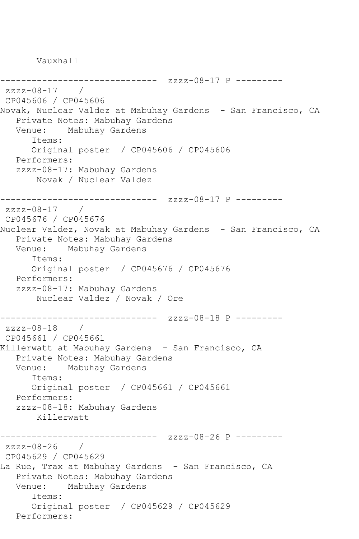Vauxhall

--------------- zzzz-08-17 P --------zzzz-08-17 / CP045606 / CP045606 Novak, Nuclear Valdez at Mabuhay Gardens - San Francisco, CA Private Notes: Mabuhay Gardens Venue: Mabuhay Gardens Items: Original poster / CP045606 / CP045606 Performers: zzzz-08-17: Mabuhay Gardens Novak / Nuclear Valdez ------------------------------ zzzz-08-17 P -------- zzzz-08-17 / CP045676 / CP045676 Nuclear Valdez, Novak at Mabuhay Gardens - San Francisco, CA Private Notes: Mabuhay Gardens Venue: Mabuhay Gardens Items: Original poster / CP045676 / CP045676 Performers: zzzz-08-17: Mabuhay Gardens Nuclear Valdez / Novak / Ore ------------------------------ zzzz-08-18 P -------- zzzz-08-18 / CP045661 / CP045661 Killerwatt at Mabuhay Gardens - San Francisco, CA Private Notes: Mabuhay Gardens Venue: Mabuhay Gardens Items: Original poster / CP045661 / CP045661 Performers: zzzz-08-18: Mabuhay Gardens Killerwatt ------------------------------ zzzz-08-26 P --------  $zzzz-08-26$  / CP045629 / CP045629 La Rue, Trax at Mabuhay Gardens - San Francisco, CA Private Notes: Mabuhay Gardens Venue: Mabuhay Gardens Items: Original poster / CP045629 / CP045629 Performers: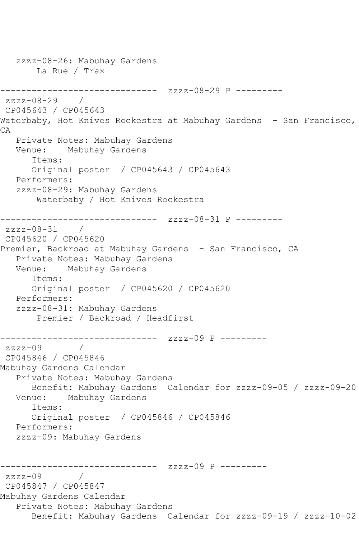```
 zzzz-08-26: Mabuhay Gardens
       La Rue / Trax
------------------------------ zzzz-08-29 P ---------
zzzz-08-29 /
CP045643 / CP045643
Waterbaby, Hot Knives Rockestra at Mabuhay Gardens - San Francisco,
CA
   Private Notes: Mabuhay Gardens
   Venue: Mabuhay Gardens
       Items:
      Original poster / CP045643 / CP045643
   Performers:
   zzzz-08-29: Mabuhay Gardens
       Waterbaby / Hot Knives Rockestra
------------------------------ zzzz-08-31 P ---------
zzzz-08-31 / 
CP045620 / CP045620
Premier, Backroad at Mabuhay Gardens - San Francisco, CA
   Private Notes: Mabuhay Gardens
   Venue: Mabuhay Gardens
      Items:
      Original poster / CP045620 / CP045620
   Performers:
   zzzz-08-31: Mabuhay Gardens
        Premier / Backroad / Headfirst
        ------------------------------ zzzz-09 P ---------
zzzz-09CP045846 / CP045846
Mabuhay Gardens Calendar
   Private Notes: Mabuhay Gardens
      Benefit: Mabuhay Gardens Calendar for zzzz-09-05 / zzzz-09-20
   Venue: Mabuhay Gardens
       Items:
      Original poster / CP045846 / CP045846
   Performers:
   zzzz-09: Mabuhay Gardens
         ------------------------------ zzzz-09 P ---------
zzzz-09 / 
CP045847 / CP045847
Mabuhay Gardens Calendar
   Private Notes: Mabuhay Gardens
       Benefit: Mabuhay Gardens Calendar for zzzz-09-19 / zzzz-10-02
```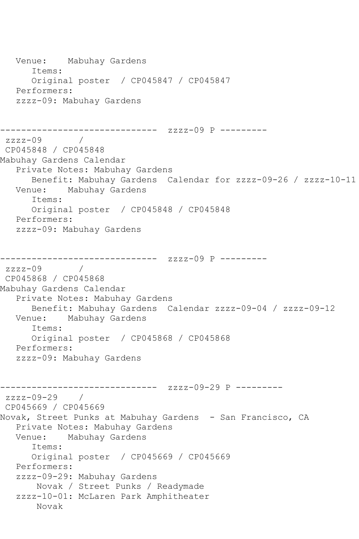```
 Venue: Mabuhay Gardens
       Items:
       Original poster / CP045847 / CP045847
    Performers:
    zzzz-09: Mabuhay Gardens
------------------------------ zzzz-09 P ---------
zzzz-09 / 
CP045848 / CP045848
Mabuhay Gardens Calendar
    Private Notes: Mabuhay Gardens
  Benefit: Mabuhay Gardens Calendar for zzzz-09-26 / zzzz-10-11<br>Venue: Mabuhay Gardens
           Mabuhay Gardens
       Items:
       Original poster / CP045848 / CP045848
   Performers:
    zzzz-09: Mabuhay Gardens
------------------------------ zzzz-09 P ---------
zzzz-09 / 
CP045868 / CP045868
Mabuhay Gardens Calendar
    Private Notes: Mabuhay Gardens
  Benefit: Mabuhay Gardens Calendar zzzz-09-04 / zzzz-09-12<br>Venue: Mabuhay Gardens
           Mabuhay Gardens
       Items:
       Original poster / CP045868 / CP045868
   Performers:
    zzzz-09: Mabuhay Gardens
------------------------------ zzzz-09-29 P ---------
zzzz-09-29 / 
CP045669 / CP045669
Novak, Street Punks at Mabuhay Gardens - San Francisco, CA
    Private Notes: Mabuhay Gardens
   Venue: Mabuhay Gardens
       Items:
       Original poster / CP045669 / CP045669
   Performers:
    zzzz-09-29: Mabuhay Gardens
        Novak / Street Punks / Readymade
    zzzz-10-01: McLaren Park Amphitheater
        Novak
```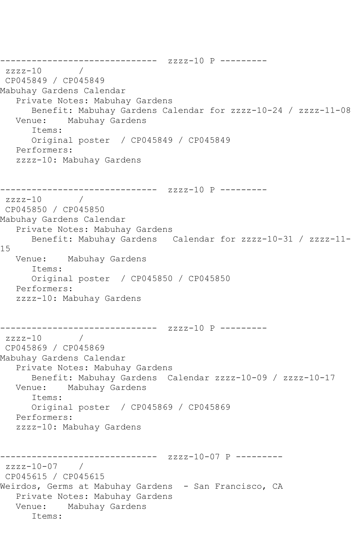------------------------------ zzzz-10 P --------  $zzzz-10$ CP045849 / CP045849 Mabuhay Gardens Calendar Private Notes: Mabuhay Gardens Benefit: Mabuhay Gardens Calendar for zzzz-10-24 / zzzz-11-08 Venue: Mabuhay Gardens Items: Original poster / CP045849 / CP045849 Performers: zzzz-10: Mabuhay Gardens ------------------------------ zzzz-10 P --------  $zzzz-10$ CP045850 / CP045850 Mabuhay Gardens Calendar Private Notes: Mabuhay Gardens Benefit: Mabuhay Gardens Calendar for zzzz-10-31 / zzzz-11- 15 Venue: Mabuhay Gardens Items: Original poster / CP045850 / CP045850 Performers: zzzz-10: Mabuhay Gardens ------------------------------ zzzz-10 P --------  $zzzz-10$  / CP045869 / CP045869 Mabuhay Gardens Calendar Private Notes: Mabuhay Gardens Benefit: Mabuhay Gardens Calendar zzzz-10-09 / zzzz-10-17 Venue: Mabuhay Gardens Items: Original poster / CP045869 / CP045869 Performers: zzzz-10: Mabuhay Gardens ------------- zzzz-10-07 P --------zzzz-10-07 / CP045615 / CP045615 Weirdos, Germs at Mabuhay Gardens - San Francisco, CA Private Notes: Mabuhay Gardens Venue: Mabuhay Gardens Items: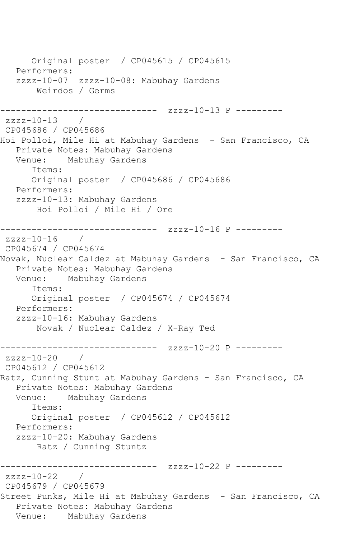Original poster / CP045615 / CP045615 Performers: zzzz-10-07 zzzz-10-08: Mabuhay Gardens Weirdos / Germs --------------------- zzzz-10-13 P --------zzzz-10-13 / CP045686 / CP045686 Hoi Polloi, Mile Hi at Mabuhay Gardens - San Francisco, CA Private Notes: Mabuhay Gardens Mabuhay Gardens Items: Original poster / CP045686 / CP045686 Performers: zzzz-10-13: Mabuhay Gardens Hoi Polloi / Mile Hi / Ore ------------------------------ zzzz-10-16 P -------- zzzz-10-16 / CP045674 / CP045674 Novak, Nuclear Caldez at Mabuhay Gardens - San Francisco, CA Private Notes: Mabuhay Gardens Venue: Mabuhay Gardens Items: Original poster / CP045674 / CP045674 Performers: zzzz-10-16: Mabuhay Gardens Novak / Nuclear Caldez / X-Ray Ted ------------------------------ zzzz-10-20 P -------- zzzz-10-20 / CP045612 / CP045612 Ratz, Cunning Stunt at Mabuhay Gardens - San Francisco, CA Private Notes: Mabuhay Gardens Venue: Mabuhay Gardens Items: Original poster / CP045612 / CP045612 Performers: zzzz-10-20: Mabuhay Gardens Ratz / Cunning Stuntz ------------------------------ zzzz-10-22 P -------- zzzz-10-22 / CP045679 / CP045679 Street Punks, Mile Hi at Mabuhay Gardens - San Francisco, CA Private Notes: Mabuhay Gardens Venue: Mabuhay Gardens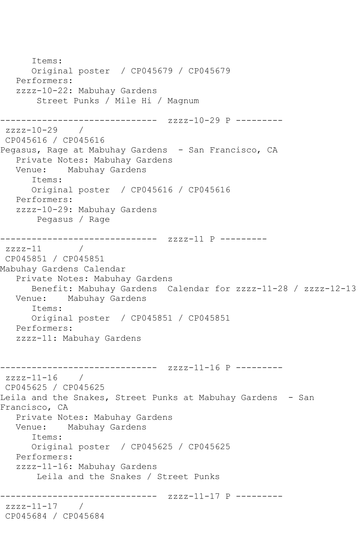```
 Items:
       Original poster / CP045679 / CP045679
    Performers:
    zzzz-10-22: Mabuhay Gardens
        Street Punks / Mile Hi / Magnum
         ------------------------------ zzzz-10-29 P ---------
zzzz-10-29CP045616 / CP045616
Pegasus, Rage at Mabuhay Gardens - San Francisco, CA
    Private Notes: Mabuhay Gardens
    Venue: Mabuhay Gardens
       Items:
       Original poster / CP045616 / CP045616
    Performers:
    zzzz-10-29: Mabuhay Gardens
        Pegasus / Rage
      -<mark>------------------------</mark> zzzz-11 P ---------<br>-11     /
zzzz-11CP045851 / CP045851
Mabuhay Gardens Calendar
    Private Notes: Mabuhay Gardens
   Benefit: Mabuhay Gardens Calendar for zzzz-11-28 / zzzz-12-13<br>Venue: Mabuhay Gardens
             Mabuhay Gardens
       Items:
       Original poster / CP045851 / CP045851
    Performers:
    zzzz-11: Mabuhay Gardens
                   ------------- zzzz-11-16 P ---------
zzzz-11-16 / 
CP045625 / CP045625
Leila and the Snakes, Street Punks at Mabuhay Gardens - San
Francisco, CA
    Private Notes: Mabuhay Gardens
    Venue: Mabuhay Gardens
       Items:
       Original poster / CP045625 / CP045625
    Performers:
    zzzz-11-16: Mabuhay Gardens
        Leila and the Snakes / Street Punks
                    ------------------------------ zzzz-11-17 P ---------
zzzz-11-17 / 
CP045684 / CP045684
```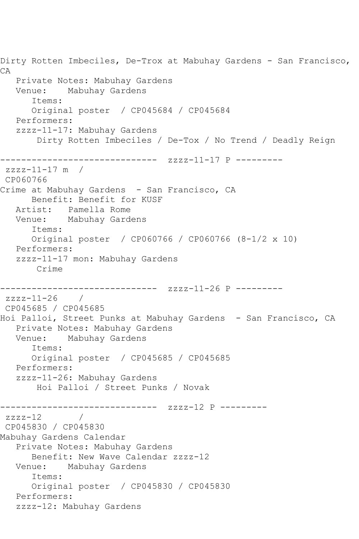Dirty Rotten Imbeciles, De-Trox at Mabuhay Gardens - San Francisco, CA Private Notes: Mabuhay Gardens Venue: Mabuhay Gardens Items: Original poster / CP045684 / CP045684 Performers: zzzz-11-17: Mabuhay Gardens Dirty Rotten Imbeciles / De-Tox / No Trend / Deadly Reign ------------------------------ zzzz-11-17 P -------- zzzz-11-17 m / CP060766 Crime at Mabuhay Gardens - San Francisco, CA Benefit: Benefit for KUSF Artist: Pamella Rome Venue: Mabuhay Gardens Items: Original poster / CP060766 / CP060766 (8-1/2 x 10) Performers: zzzz-11-17 mon: Mabuhay Gardens Crime ------------------------------ zzzz-11-26 P -------- zzzz-11-26 / CP045685 / CP045685 Hoi Palloi, Street Punks at Mabuhay Gardens - San Francisco, CA Private Notes: Mabuhay Gardens Venue: Mabuhay Gardens Items: Original poster / CP045685 / CP045685 Performers: zzzz-11-26: Mabuhay Gardens Hoi Palloi / Street Punks / Novak ------------------------------ zzzz-12 P --------  $zzzz-12$ CP045830 / CP045830 Mabuhay Gardens Calendar Private Notes: Mabuhay Gardens Benefit: New Wave Calendar zzzz-12 Venue: Mabuhay Gardens Items: Original poster / CP045830 / CP045830 Performers: zzzz-12: Mabuhay Gardens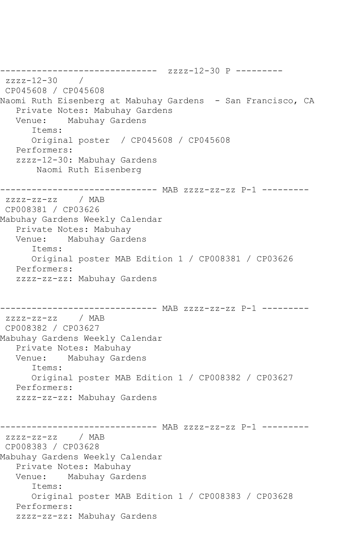------------------------------ zzzz-12-30 P -------- zzzz-12-30 / CP045608 / CP045608 Naomi Ruth Eisenberg at Mabuhay Gardens - San Francisco, CA Private Notes: Mabuhay Gardens Venue: Mabuhay Gardens Items: Original poster / CP045608 / CP045608 Performers: zzzz-12-30: Mabuhay Gardens Naomi Ruth Eisenberg ------------------------------ MAB zzzz-zz-zz P-1 -------- zzzz-zz-zz / MAB CP008381 / CP03626 Mabuhay Gardens Weekly Calendar Private Notes: Mabuhay Venue: Mabuhay Gardens Items: Original poster MAB Edition 1 / CP008381 / CP03626 Performers: zzzz-zz-zz: Mabuhay Gardens ------------------------------ MAB zzzz-zz-zz P-1 -------- zzzz-zz-zz / MAB CP008382 / CP03627 Mabuhay Gardens Weekly Calendar Private Notes: Mabuhay Venue: Mabuhay Gardens Items: Original poster MAB Edition 1 / CP008382 / CP03627 Performers: zzzz-zz-zz: Mabuhay Gardens ------------------------------ MAB zzzz-zz-zz P-1 -------- zzzz-zz-zz / MAB CP008383 / CP03628 Mabuhay Gardens Weekly Calendar Private Notes: Mabuhay Venue: Mabuhay Gardens Items: Original poster MAB Edition 1 / CP008383 / CP03628 Performers: zzzz-zz-zz: Mabuhay Gardens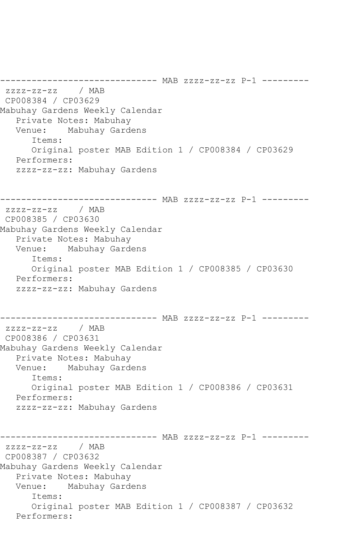------------------------------ MAB zzzz-zz-zz P-1 -------- zzzz-zz-zz / MAB CP008384 / CP03629 Mabuhay Gardens Weekly Calendar Private Notes: Mabuhay Venue: Mabuhay Gardens Items: Original poster MAB Edition 1 / CP008384 / CP03629 Performers: zzzz-zz-zz: Mabuhay Gardens ------------------------------ MAB zzzz-zz-zz P-1 -------- zzzz-zz-zz / MAB CP008385 / CP03630 Mabuhay Gardens Weekly Calendar Private Notes: Mabuhay Venue: Mabuhay Gardens Items: Original poster MAB Edition 1 / CP008385 / CP03630 Performers: zzzz-zz-zz: Mabuhay Gardens ------------------------------ MAB zzzz-zz-zz P-1 -------- zzzz-zz-zz / MAB CP008386 / CP03631 Mabuhay Gardens Weekly Calendar Private Notes: Mabuhay Venue: Mabuhay Gardens Items: Original poster MAB Edition 1 / CP008386 / CP03631 Performers: zzzz-zz-zz: Mabuhay Gardens ------------------------------ MAB zzzz-zz-zz P-1 -------- zzzz-zz-zz / MAB CP008387 / CP03632 Mabuhay Gardens Weekly Calendar Private Notes: Mabuhay Venue: Mabuhay Gardens Items: Original poster MAB Edition 1 / CP008387 / CP03632 Performers: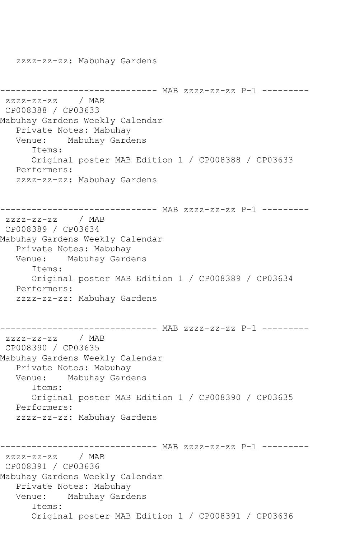zzzz-zz-zz: Mabuhay Gardens ------------------------------ MAB zzzz-zz-zz P-1 ---------  $ZZZZ-ZZ-ZZ$ CP008388 / CP03633 Mabuhay Gardens Weekly Calendar Private Notes: Mabuhay Venue: Mabuhay Gardens Items: Original poster MAB Edition 1 / CP008388 / CP03633 Performers: zzzz-zz-zz: Mabuhay Gardens ------------------------------ MAB zzzz-zz-zz P-1 -------- zzzz-zz-zz / MAB CP008389 / CP03634 Mabuhay Gardens Weekly Calendar Private Notes: Mabuhay Venue: Mabuhay Gardens Items: Original poster MAB Edition 1 / CP008389 / CP03634 Performers: zzzz-zz-zz: Mabuhay Gardens ------------------------------ MAB zzzz-zz-zz P-1 -------- zzzz-zz-zz / MAB CP008390 / CP03635 Mabuhay Gardens Weekly Calendar Private Notes: Mabuhay Venue: Mabuhay Gardens Items: Original poster MAB Edition 1 / CP008390 / CP03635 Performers: zzzz-zz-zz: Mabuhay Gardens ------------------------------ MAB zzzz-zz-zz P-1 -------- zzzz-zz-zz / MAB CP008391 / CP03636 Mabuhay Gardens Weekly Calendar Private Notes: Mabuhay Venue: Mabuhay Gardens Items: Original poster MAB Edition 1 / CP008391 / CP03636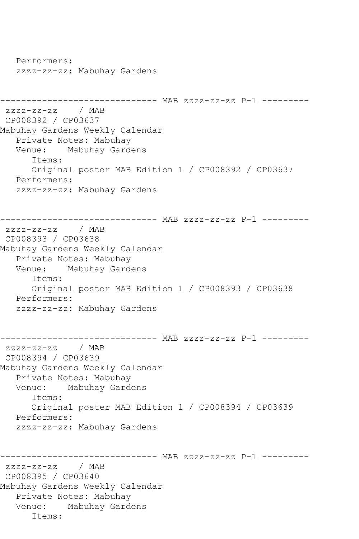Performers: zzzz-zz-zz: Mabuhay Gardens ------------------------------ MAB zzzz-zz-zz P-1 -------- zzzz-zz-zz / MAB CP008392 / CP03637 Mabuhay Gardens Weekly Calendar Private Notes: Mabuhay Venue: Mabuhay Gardens Items: Original poster MAB Edition 1 / CP008392 / CP03637 Performers: zzzz-zz-zz: Mabuhay Gardens ------------------------------ MAB zzzz-zz-zz P-1 -------- zzzz-zz-zz / MAB CP008393 / CP03638 Mabuhay Gardens Weekly Calendar Private Notes: Mabuhay Venue: Mabuhay Gardens Items: Original poster MAB Edition 1 / CP008393 / CP03638 Performers: zzzz-zz-zz: Mabuhay Gardens ------------------------------ MAB zzzz-zz-zz P-1 -------- zzzz-zz-zz / MAB CP008394 / CP03639 Mabuhay Gardens Weekly Calendar Private Notes: Mabuhay<br>Venue: Mabuhay Gard Mabuhay Gardens Items: Original poster MAB Edition 1 / CP008394 / CP03639 Performers: zzzz-zz-zz: Mabuhay Gardens ------------------------------ MAB zzzz-zz-zz P-1 -------- zzzz-zz-zz / MAB CP008395 / CP03640 Mabuhay Gardens Weekly Calendar Private Notes: Mabuhay Venue: Mabuhay Gardens Items: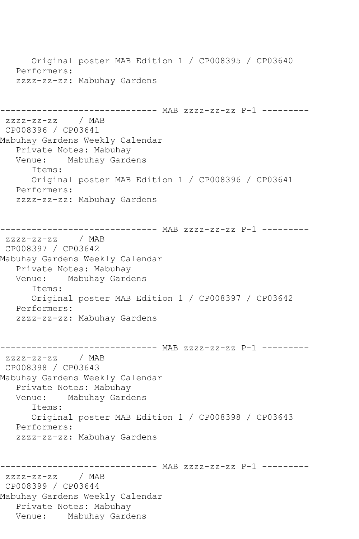Original poster MAB Edition 1 / CP008395 / CP03640 Performers: zzzz-zz-zz: Mabuhay Gardens ------------------------------ MAB zzzz-zz-zz P-1 -------- zzzz-zz-zz / MAB CP008396 / CP03641 Mabuhay Gardens Weekly Calendar Private Notes: Mabuhay<br>Venue: Mabuhay Gard Mabuhay Gardens Items: Original poster MAB Edition 1 / CP008396 / CP03641 Performers: zzzz-zz-zz: Mabuhay Gardens ------------------------------ MAB zzzz-zz-zz P-1 -------- zzzz-zz-zz / MAB CP008397 / CP03642 Mabuhay Gardens Weekly Calendar Private Notes: Mabuhay Venue: Mabuhay Gardens Items: Original poster MAB Edition 1 / CP008397 / CP03642 Performers: zzzz-zz-zz: Mabuhay Gardens ------------------------------ MAB zzzz-zz-zz P-1 ---------  $ZZZZ-ZZ-ZZ$ CP008398 / CP03643 Mabuhay Gardens Weekly Calendar Private Notes: Mabuhay Venue: Mabuhay Gardens Items: Original poster MAB Edition 1 / CP008398 / CP03643 Performers: zzzz-zz-zz: Mabuhay Gardens ------------------------------ MAB zzzz-zz-zz P-1 -------- zzzz-zz-zz / MAB CP008399 / CP03644 Mabuhay Gardens Weekly Calendar Private Notes: Mabuhay Venue: Mabuhay Gardens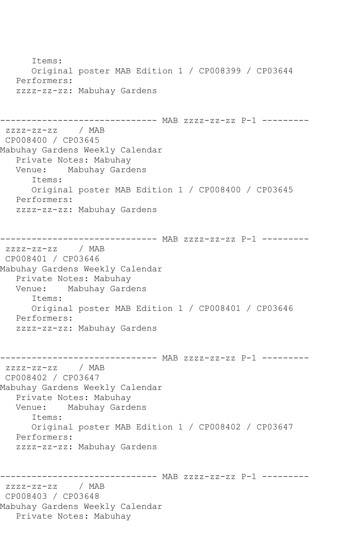Items: Original poster MAB Edition 1 / CP008399 / CP03644 Performers: zzzz-zz-zz: Mabuhay Gardens ------------------------------ MAB zzzz-zz-zz P-1 -------- zzzz-zz-zz / MAB CP008400 / CP03645 Mabuhay Gardens Weekly Calendar Private Notes: Mabuhay<br>Venue: Mabuhay Gard Mabuhay Gardens Items: Original poster MAB Edition 1 / CP008400 / CP03645 Performers: zzzz-zz-zz: Mabuhay Gardens ------------------------------ MAB zzzz-zz-zz P-1 -------- zzzz-zz-zz / MAB CP008401 / CP03646 Mabuhay Gardens Weekly Calendar Private Notes: Mabuhay<br>Venue: Mabuhay Gard Mabuhay Gardens Items: Original poster MAB Edition 1 / CP008401 / CP03646 Performers: zzzz-zz-zz: Mabuhay Gardens ------------------------------ MAB zzzz-zz-zz P-1 -------- zzzz-zz-zz / MAB CP008402 / CP03647 Mabuhay Gardens Weekly Calendar Private Notes: Mabuhay Venue: Mabuhay Gardens Items: Original poster MAB Edition 1 / CP008402 / CP03647 Performers: zzzz-zz-zz: Mabuhay Gardens ------------------------------ MAB zzzz-zz-zz P-1 -------- zzzz-zz-zz / MAB CP008403 / CP03648 Mabuhay Gardens Weekly Calendar Private Notes: Mabuhay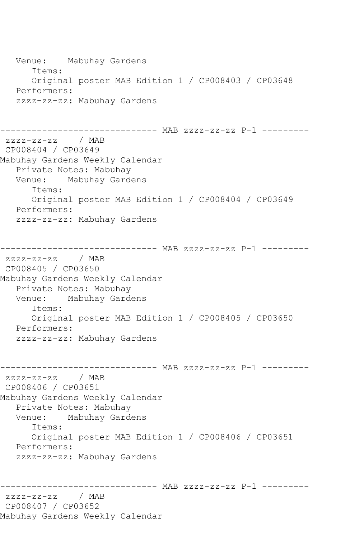Venue: Mabuhay Gardens Items: Original poster MAB Edition 1 / CP008403 / CP03648 Performers: zzzz-zz-zz: Mabuhay Gardens ------------------------------ MAB zzzz-zz-zz P-1 -------- zzzz-zz-zz / MAB CP008404 / CP03649 Mabuhay Gardens Weekly Calendar Private Notes: Mabuhay Venue: Mabuhay Gardens Items: Original poster MAB Edition 1 / CP008404 / CP03649 Performers: zzzz-zz-zz: Mabuhay Gardens ------------------------------ MAB zzzz-zz-zz P-1 -------- zzzz-zz-zz / MAB CP008405 / CP03650 Mabuhay Gardens Weekly Calendar Private Notes: Mabuhay<br>Venue: Mabuhay Gard Mabuhay Gardens Items: Original poster MAB Edition 1 / CP008405 / CP03650 Performers: zzzz-zz-zz: Mabuhay Gardens ------------------------------ MAB zzzz-zz-zz P-1 -------- zzzz-zz-zz / MAB CP008406 / CP03651 Mabuhay Gardens Weekly Calendar Private Notes: Mabuhay<br>Venue: Mabuhay Gard Mabuhay Gardens Items: Original poster MAB Edition 1 / CP008406 / CP03651 Performers: zzzz-zz-zz: Mabuhay Gardens ------------------------------ MAB zzzz-zz-zz P-1 -------- zzzz-zz-zz / MAB CP008407 / CP03652 Mabuhay Gardens Weekly Calendar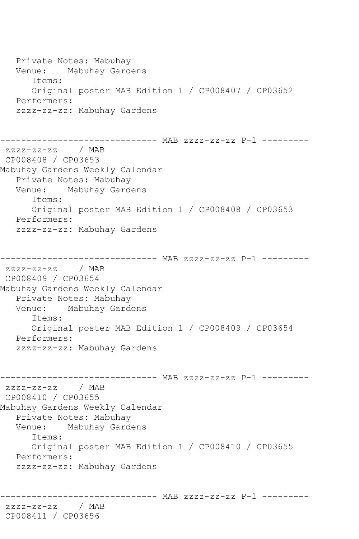Private Notes: Mabuhay Venue: Mabuhay Gardens Items: Original poster MAB Edition 1 / CP008407 / CP03652 Performers: zzzz-zz-zz: Mabuhay Gardens ------------------------------ MAB zzzz-zz-zz P-1 -------- zzzz-zz-zz / MAB CP008408 / CP03653 Mabuhay Gardens Weekly Calendar Private Notes: Mabuhay<br>Venue: Mabuhay Gard Mabuhay Gardens Items: Original poster MAB Edition 1 / CP008408 / CP03653 Performers: zzzz-zz-zz: Mabuhay Gardens ------------------------------ MAB zzzz-zz-zz P-1 -------- zzzz-zz-zz / MAB CP008409 / CP03654 Mabuhay Gardens Weekly Calendar Private Notes: Mabuhay Venue: Mabuhay Gardens Items: Original poster MAB Edition 1 / CP008409 / CP03654 Performers: zzzz-zz-zz: Mabuhay Gardens ------------------------------ MAB zzzz-zz-zz P-1 -------- zzzz-zz-zz / MAB CP008410 / CP03655 Mabuhay Gardens Weekly Calendar Private Notes: Mabuhay Venue: Mabuhay Gardens Items: Original poster MAB Edition 1 / CP008410 / CP03655 Performers: zzzz-zz-zz: Mabuhay Gardens ------------------------------ MAB zzzz-zz-zz P-1 -------- zzzz-zz-zz / MAB CP008411 / CP03656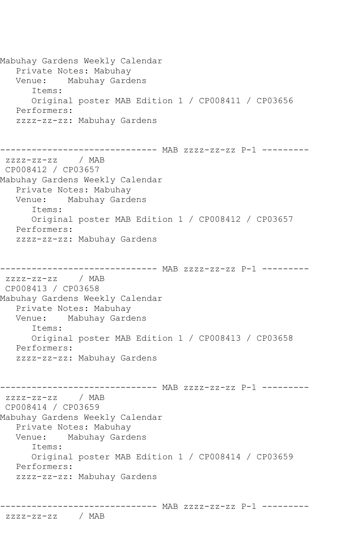Mabuhay Gardens Weekly Calendar Private Notes: Mabuhay Venue: Mabuhay Gardens Items: Original poster MAB Edition 1 / CP008411 / CP03656 Performers: zzzz-zz-zz: Mabuhay Gardens ------------------------------ MAB zzzz-zz-zz P-1 -------- zzzz-zz-zz / MAB CP008412 / CP03657 Mabuhay Gardens Weekly Calendar Private Notes: Mabuhay Venue: Mabuhay Gardens Items: Original poster MAB Edition 1 / CP008412 / CP03657 Performers: zzzz-zz-zz: Mabuhay Gardens \_\_\_\_\_\_\_\_\_\_\_\_\_\_\_\_\_ ------------------------------ MAB zzzz-zz-zz P-1 -------- zzzz-zz-zz / MAB CP008413 / CP03658 Mabuhay Gardens Weekly Calendar Private Notes: Mabuhay<br>Venue: Mabuhay Gard Mabuhay Gardens Items: Original poster MAB Edition 1 / CP008413 / CP03658 Performers: zzzz-zz-zz: Mabuhay Gardens ------------------------------ MAB zzzz-zz-zz P-1 -------- zzzz-zz-zz / MAB CP008414 / CP03659 Mabuhay Gardens Weekly Calendar Private Notes: Mabuhay Venue: Mabuhay Gardens Items: Original poster MAB Edition 1 / CP008414 / CP03659 Performers: zzzz-zz-zz: Mabuhay Gardens

```
------------------------------ MAB zzzz-zz-zz P-1 ---------
```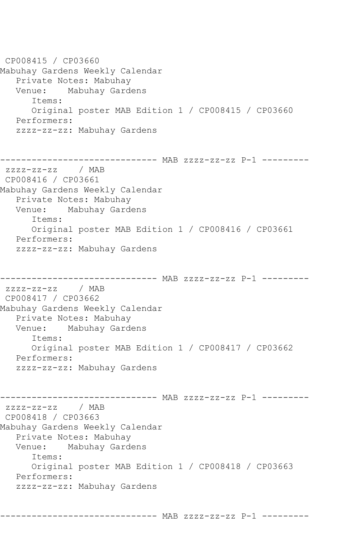CP008415 / CP03660 Mabuhay Gardens Weekly Calendar Private Notes: Mabuhay Venue: Mabuhay Gardens Items: Original poster MAB Edition 1 / CP008415 / CP03660 Performers: zzzz-zz-zz: Mabuhay Gardens ------------------------------ MAB zzzz-zz-zz P-1 -------- zzzz-zz-zz / MAB CP008416 / CP03661 Mabuhay Gardens Weekly Calendar Private Notes: Mabuhay Venue: Mabuhay Gardens Items: Original poster MAB Edition 1 / CP008416 / CP03661 Performers: zzzz-zz-zz: Mabuhay Gardens ------------------------------ MAB zzzz-zz-zz P-1 -------- zzzz-zz-zz / MAB CP008417 / CP03662 Mabuhay Gardens Weekly Calendar Private Notes: Mabuhay Venue: Mabuhay Gardens Items: Original poster MAB Edition 1 / CP008417 / CP03662 Performers: zzzz-zz-zz: Mabuhay Gardens ------------------------------ MAB zzzz-zz-zz P-1 -------- zzzz-zz-zz / MAB CP008418 / CP03663 Mabuhay Gardens Weekly Calendar Private Notes: Mabuhay<br>Venue: Mabuhay Garde Mabuhay Gardens Items: Original poster MAB Edition 1 / CP008418 / CP03663 Performers: zzzz-zz-zz: Mabuhay Gardens

------------------------------ MAB zzzz-zz-zz P-1 ---------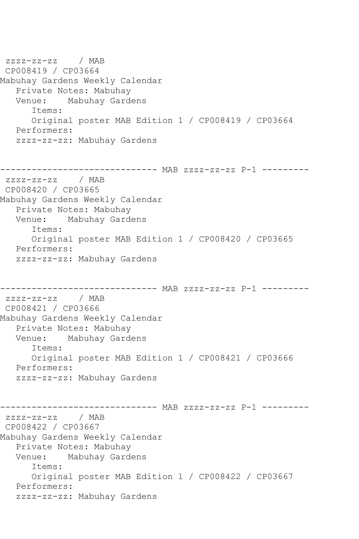zzzz-zz-zz / MAB CP008419 / CP03664 Mabuhay Gardens Weekly Calendar Private Notes: Mabuhay<br>Venue: Mabuhay Gard Mabuhay Gardens Items: Original poster MAB Edition 1 / CP008419 / CP03664 Performers: zzzz-zz-zz: Mabuhay Gardens ------------------------------ MAB zzzz-zz-zz P-1 -------- zzzz-zz-zz / MAB CP008420 / CP03665 Mabuhay Gardens Weekly Calendar Private Notes: Mabuhay Venue: Mabuhay Gardens Items: Original poster MAB Edition 1 / CP008420 / CP03665 Performers: zzzz-zz-zz: Mabuhay Gardens ------------------------------ MAB zzzz-zz-zz P-1 -------- zzzz-zz-zz / MAB CP008421 / CP03666 Mabuhay Gardens Weekly Calendar Private Notes: Mabuhay Venue: Mabuhay Gardens Items: Original poster MAB Edition 1 / CP008421 / CP03666 Performers: zzzz-zz-zz: Mabuhay Gardens ------------------------------ MAB zzzz-zz-zz P-1 -------- zzzz-zz-zz / MAB CP008422 / CP03667 Mabuhay Gardens Weekly Calendar Private Notes: Mabuhay<br>Venue: Mabuhay Gard Mabuhay Gardens Items: Original poster MAB Edition 1 / CP008422 / CP03667 Performers: zzzz-zz-zz: Mabuhay Gardens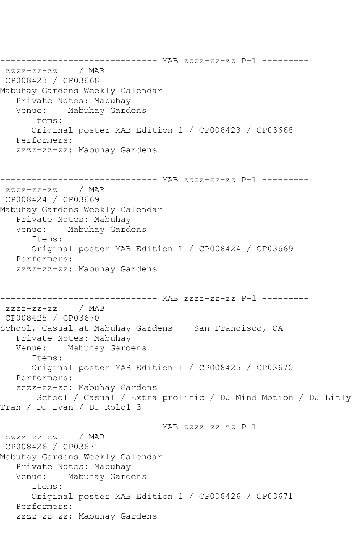------------------------------ MAB zzzz-zz-zz P-1 ---------  $ZZZZ-ZZ-ZZ$ CP008423 / CP03668 Mabuhay Gardens Weekly Calendar Private Notes: Mabuhay Venue: Mabuhay Gardens Items: Original poster MAB Edition 1 / CP008423 / CP03668 Performers: zzzz-zz-zz: Mabuhay Gardens ------------------------------ MAB zzzz-zz-zz P-1 -------- zzzz-zz-zz / MAB CP008424 / CP03669 Mabuhay Gardens Weekly Calendar Private Notes: Mabuhay Venue: Mabuhay Gardens Items: Original poster MAB Edition 1 / CP008424 / CP03669 Performers: zzzz-zz-zz: Mabuhay Gardens ------------------------------ MAB zzzz-zz-zz P-1 -------- zzzz-zz-zz / MAB CP008425 / CP03670 School, Casual at Mabuhay Gardens - San Francisco, CA Private Notes: Mabuhay Venue: Mabuhay Gardens Items: Original poster MAB Edition 1 / CP008425 / CP03670 Performers: zzzz-zz-zz: Mabuhay Gardens School / Casual / Extra prolific / DJ Mind Motion / DJ Litly Tran / DJ Ivan / DJ Rolo1-3 ------------------------------ MAB zzzz-zz-zz P-1 -------- zzzz-zz-zz / MAB CP008426 / CP03671 Mabuhay Gardens Weekly Calendar Private Notes: Mabuhay Venue: Mabuhay Gardens Items: Original poster MAB Edition 1 / CP008426 / CP03671 Performers: zzzz-zz-zz: Mabuhay Gardens